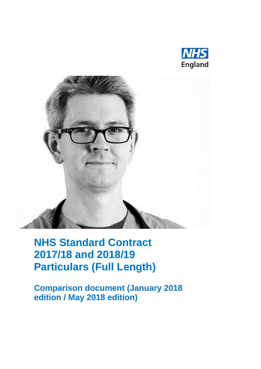



# **NHS Standard Contract 2017/18 and 2018/19 Particulars (Full Length)**

**Comparison document (January 2018 edition / May 2018 edition)**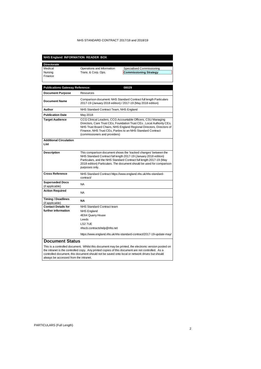| NHS England INFORMATION READER BOX                                                                                                                                                                                                                                                                                                                                             |                                                                                                                                                                                                                                                                                                        |                                                                                                                                                                                                                                                                                                               |  |
|--------------------------------------------------------------------------------------------------------------------------------------------------------------------------------------------------------------------------------------------------------------------------------------------------------------------------------------------------------------------------------|--------------------------------------------------------------------------------------------------------------------------------------------------------------------------------------------------------------------------------------------------------------------------------------------------------|---------------------------------------------------------------------------------------------------------------------------------------------------------------------------------------------------------------------------------------------------------------------------------------------------------------|--|
| <b>Directorate</b>                                                                                                                                                                                                                                                                                                                                                             |                                                                                                                                                                                                                                                                                                        |                                                                                                                                                                                                                                                                                                               |  |
| Medical<br>Nursing<br>Finance                                                                                                                                                                                                                                                                                                                                                  | Operations and Information<br>Trans. & Corp. Ops.                                                                                                                                                                                                                                                      | Specialised Commissioning<br><b>Commissioning Strategy</b>                                                                                                                                                                                                                                                    |  |
| <b>Publications Gateway Reference:</b>                                                                                                                                                                                                                                                                                                                                         |                                                                                                                                                                                                                                                                                                        | 08029                                                                                                                                                                                                                                                                                                         |  |
| <b>Document Purpose</b>                                                                                                                                                                                                                                                                                                                                                        | Resources                                                                                                                                                                                                                                                                                              |                                                                                                                                                                                                                                                                                                               |  |
| <b>Document Name</b>                                                                                                                                                                                                                                                                                                                                                           |                                                                                                                                                                                                                                                                                                        | Comparison document: NHS Standard Contract full length Particulars<br>2017-19 (January 2018 edition) / 2017-19 (May 2018 edition)                                                                                                                                                                             |  |
| Author                                                                                                                                                                                                                                                                                                                                                                         | NHS Standard Contract Team, NHS England                                                                                                                                                                                                                                                                |                                                                                                                                                                                                                                                                                                               |  |
| <b>Publication Date</b>                                                                                                                                                                                                                                                                                                                                                        | May 2018                                                                                                                                                                                                                                                                                               |                                                                                                                                                                                                                                                                                                               |  |
| <b>Target Audience</b>                                                                                                                                                                                                                                                                                                                                                         |                                                                                                                                                                                                                                                                                                        | CCG Clinical Leaders, CCG Accountable Officers, CSU Managing<br>Directors, Care Trust CEs, Foundation Trust CEs, Local Authority CEs,<br>NHS Trust Board Chairs, NHS England Regional Directors, Directors of<br>Finance, NHS Trust CEs, Parties to an NHS Standard Contract<br>(commissioners and providers) |  |
| <b>Additional Circulation</b><br>List                                                                                                                                                                                                                                                                                                                                          |                                                                                                                                                                                                                                                                                                        |                                                                                                                                                                                                                                                                                                               |  |
| <b>Description</b>                                                                                                                                                                                                                                                                                                                                                             | This comparison document shows the 'tracked changes' between the<br>NHS Standard Contract full length 2017-19 (January 2018 edition)<br>Particulars, and the NHS Standard Contract full length 2017-19 (May<br>2018 edition) Particulars. The document should be used for comparison<br>purposes only. |                                                                                                                                                                                                                                                                                                               |  |
| <b>Cross Reference</b>                                                                                                                                                                                                                                                                                                                                                         | contract/                                                                                                                                                                                                                                                                                              | NHS Standard Contract https://www.england.nhs.uk/nhs-standard-                                                                                                                                                                                                                                                |  |
| <b>Superseded Docs</b><br>(if applicable)                                                                                                                                                                                                                                                                                                                                      | <b>NA</b>                                                                                                                                                                                                                                                                                              |                                                                                                                                                                                                                                                                                                               |  |
| <b>Action Required</b>                                                                                                                                                                                                                                                                                                                                                         | <b>NA</b>                                                                                                                                                                                                                                                                                              |                                                                                                                                                                                                                                                                                                               |  |
| <b>Timing / Deadlines</b><br>(if applicable)                                                                                                                                                                                                                                                                                                                                   | NΑ                                                                                                                                                                                                                                                                                                     |                                                                                                                                                                                                                                                                                                               |  |
| <b>Contact Details for</b><br>further information                                                                                                                                                                                                                                                                                                                              | NHS Standard Contract team<br><b>NHS England</b><br>4E64 Quarry House<br>Leeds<br>LS2 7UE<br>nhscb.contractshelp@nhs.net                                                                                                                                                                               |                                                                                                                                                                                                                                                                                                               |  |
|                                                                                                                                                                                                                                                                                                                                                                                | https://www.england.nhs.uk/nhs-standard-contract/2017-19-update-may/                                                                                                                                                                                                                                   |                                                                                                                                                                                                                                                                                                               |  |
| <b>Document Status</b><br>This is a controlled document. Whilst this document may be printed, the electronic version posted on<br>the intranet is the controlled copy. Any printed copies of this document are not controlled. As a<br>controlled document, this document should not be saved onto local or network drives but should<br>always be accessed from the intranet. |                                                                                                                                                                                                                                                                                                        |                                                                                                                                                                                                                                                                                                               |  |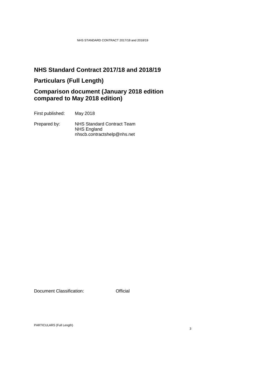# **NHS Standard Contract 2017/18 and 2018/19**

# **Particulars (Full Length)**

# **Comparison document (January 2018 edition compared to May 2018 edition)**

First published: May 2018

Prepared by: NHS Standard Contract Team NHS England nhscb.contractshelp@nhs.net

Document Classification: **Official**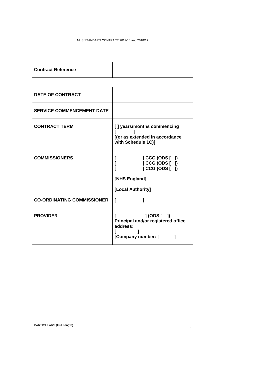| <b>Contract Reference</b> |  |
|---------------------------|--|
|---------------------------|--|

| <b>DATE OF CONTRACT</b>           |                                                                                                    |
|-----------------------------------|----------------------------------------------------------------------------------------------------|
| <b>SERVICE COMMENCEMENT DATE</b>  |                                                                                                    |
| <b>CONTRACT TERM</b>              | [] years/months commencing<br>[(or as extended in accordance<br>with Schedule 1C)]                 |
| <b>COMMISSIONERS</b>              | $] CGG (ODS [$ ]<br>L<br>] CCG (ODS [ ])<br>$] CGG (ODS [$ ]<br>[NHS England]<br>[Local Authority] |
| <b>CO-ORDINATING COMMISSIONER</b> | I                                                                                                  |
| <b>PROVIDER</b>                   | $J(ODS[$ $J)$<br>Principal and/or registered office<br>address:<br>[Company number: [              |

4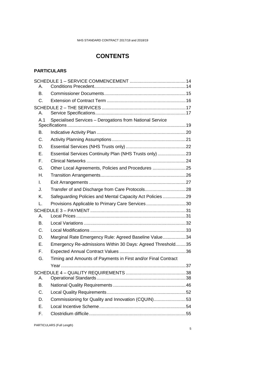# **CONTENTS**

#### **PARTICULARS**

| А.  |                                                               |  |
|-----|---------------------------------------------------------------|--|
| В.  |                                                               |  |
| C.  |                                                               |  |
|     |                                                               |  |
| А.  |                                                               |  |
| A 1 | Specialised Services - Derogations from National Service      |  |
| В.  |                                                               |  |
| C.  |                                                               |  |
| D.  |                                                               |  |
| Е.  | Essential Services Continuity Plan (NHS Trusts only) 23       |  |
| F.  |                                                               |  |
| G.  | Other Local Agreements, Policies and Procedures 25            |  |
| Η.  |                                                               |  |
| L.  |                                                               |  |
| J.  |                                                               |  |
| Κ.  | Safeguarding Policies and Mental Capacity Act Policies 29     |  |
| L.  | Provisions Applicable to Primary Care Services30              |  |
| А.  |                                                               |  |
| В.  |                                                               |  |
| C.  |                                                               |  |
| D.  | Marginal Rate Emergency Rule: Agreed Baseline Value34         |  |
| Е.  | Emergency Re-admissions Within 30 Days: Agreed Threshold35    |  |
| F.  |                                                               |  |
| G.  | Timing and Amounts of Payments in First and/or Final Contract |  |
|     |                                                               |  |
| А.  |                                                               |  |
| В.  |                                                               |  |
| C.  |                                                               |  |
| D.  | Commissioning for Quality and Innovation (CQUIN)53            |  |
| Е.  |                                                               |  |
| F.  |                                                               |  |
|     |                                                               |  |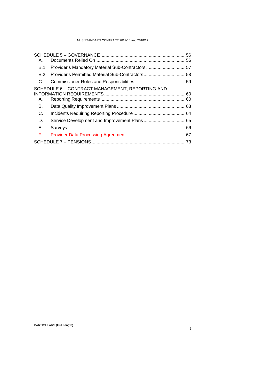| А.                                                             |  |
|----------------------------------------------------------------|--|
| <b>B.1</b><br>Provider's Mandatory Material Sub-Contractors 57 |  |
| Provider's Permitted Material Sub-Contractors58<br>B.2         |  |
| C.                                                             |  |
| SCHEDULE 6 - CONTRACT MANAGEMENT, REPORTING AND<br>А.          |  |
| В.                                                             |  |
| C.                                                             |  |
| D.                                                             |  |
| Е.                                                             |  |
| F.                                                             |  |
|                                                                |  |

 $\overline{\phantom{a}}$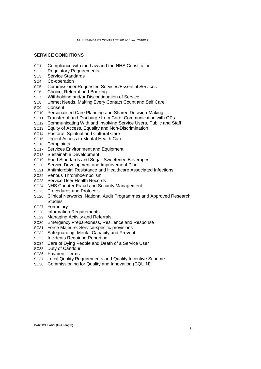#### **SERVICE CONDITIONS**

- SC1 Compliance with the Law and the NHS Constitution
- SC2 Regulatory Requirements
- SC3 Service Standards
- SC4 Co-operation
- SC5 Commissioner Requested Services/Essential Services
- SC6 Choice, Referral and Booking
- SC7 Withholding and/or Discontinuation of Service
- SC8 Unmet Needs, Making Every Contact Count and Self Care
- SC9 Consent
- SC10 Personalised Care Planning and Shared Decision-Making
- SC11 Transfer of and Discharge from Care; Communication with GPs
- SC12 Communicating With and Involving Service Users, Public and Staff
- SC13 Equity of Access, Equality and Non-Discrimination
- SC14 Pastoral, Spiritual and Cultural Care
- SC15 Urgent Access to Mental Health Care
- SC16 Complaints
- SC17 Services Environment and Equipment
- SC18 Sustainable Development
- SC19 Food Standards and Sugar-Sweetened Beverages
- SC20 Service Development and Improvement Plan
- SC21 Antimicrobial Resistance and Healthcare Associated Infections
- SC22 Venous Thromboembolism
- SC23 Service User Health Records
- SC24 NHS Counter-Fraud and Security Management
- SC25 Procedures and Protocols
- SC26 Clinical Networks, National Audit Programmes and Approved Research **Studies**
- SC27 Formulary
- SC28 Information Requirements
- SC29 Managing Activity and Referrals
- SC30 Emergency Preparedness, Resilience and Response
- SC31 Force Majeure: Service-specific provisions
- SC32 Safeguarding, Mental Capacity and Prevent
- SC33 Incidents Requiring Reporting
- SC34 Care of Dying People and Death of a Service User
- SC35 Duty of Candour
- SC36 Payment Terms
- SC37 Local Quality Requirements and Quality Incentive Scheme
- SC38 Commissioning for Quality and Innovation (CQUIN)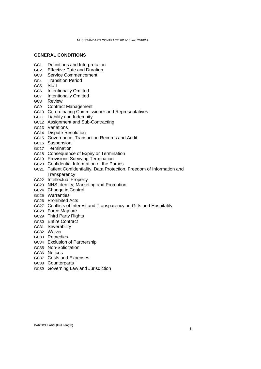#### **GENERAL CONDITIONS**

- GC1 Definitions and Interpretation
- GC2 Effective Date and Duration
- GC3 Service Commencement
- GC4 Transition Period
- GC5 Staff
- GC6 Intentionally Omitted
- GC7 Intentionally Omitted
- GC8 Review
- GC9 Contract Management
- GC10 Co-ordinating Commissioner and Representatives
- GC11 Liability and Indemnity
- GC12 Assignment and Sub-Contracting
- GC13 Variations
- GC14 Dispute Resolution
- GC15 Governance, Transaction Records and Audit
- GC16 Suspension
- GC17 Termination
- GC18 Consequence of Expiry or Termination
- GC19 Provisions Surviving Termination
- GC20 Confidential Information of the Parties
- GC21 Patient Confidentiality, Data Protection, Freedom of Information and **Transparency**
- GC22 Intellectual Property
- GC23 NHS Identity, Marketing and Promotion
- GC24 Change in Control
- GC25 Warranties
- GC26 Prohibited Acts
- GC27 Conflicts of Interest and Transparency on Gifts and Hospitality
- GC28 Force Majeure
- GC29 Third Party Rights
- GC30 Entire Contract
- GC31 Severability
- GC32 Waiver
- GC33 Remedies
- GC34 Exclusion of Partnership
- GC35 Non-Solicitation
- GC36 Notices
- GC37 Costs and Expenses
- GC38 Counterparts
- GC39 Governing Law and Jurisdiction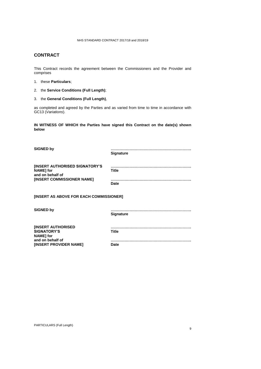#### **CONTRACT**

This Contract records the agreement between the Commissioners and the Provider and comprises

- 1. these **Particulars**;
- 2. the **Service Conditions (Full Length)**;
- 3. the **General Conditions (Full Length)**,

as completed and agreed by the Parties and as varied from time to time in accordance with GC13 (*Variations*).

**IN WITNESS OF WHICH the Parties have signed this Contract on the date(s) shown below**

| <b>SIGNED by</b>                                                                                           | <b>Signature</b> |  |
|------------------------------------------------------------------------------------------------------------|------------------|--|
| <b>[INSERT AUTHORISED SIGNATORY'S</b><br><b>NAME</b> for<br>and on behalf of<br>[INSERT COMMISSIONER NAME] | Title<br>Date    |  |
| [INSERT AS ABOVE FOR EACH COMMISSIONER]                                                                    |                  |  |
| <b>SIGNED by</b>                                                                                           | <b>Signature</b> |  |
| <b>INSERT AUTHORISED</b><br><b>SIGNATORY'S</b><br><b>NAME</b> for                                          | <b>Title</b>     |  |

**Date**

**……………………………………………………….**

PARTICULARS (Full Length)

**and on behalf of**

**[INSERT PROVIDER NAME]**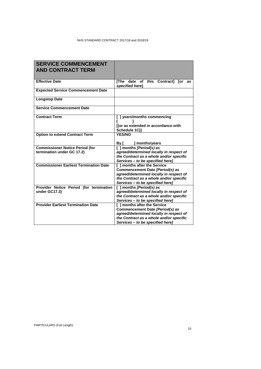| <b>SERVICE COMMENCEMENT</b><br><b>AND CONTRACT TERM</b>              |                                                                                                                                                                                           |  |
|----------------------------------------------------------------------|-------------------------------------------------------------------------------------------------------------------------------------------------------------------------------------------|--|
| <b>Effective Date</b>                                                | [The date of this<br><b>Contract1</b><br><b>Tor</b><br>as<br>specified herel                                                                                                              |  |
| <b>Expected Service Commencement Date</b>                            |                                                                                                                                                                                           |  |
| <b>Longstop Date</b>                                                 |                                                                                                                                                                                           |  |
| <b>Service Commencement Date</b>                                     |                                                                                                                                                                                           |  |
| <b>Contract Term</b>                                                 | [ ] years/months commencing<br>[(or as extended in accordance with<br>Schedule 1C)]                                                                                                       |  |
| <b>Option to extend Contract Term</b>                                | <b>YES/NO</b><br>] months/years<br>By [                                                                                                                                                   |  |
| <b>Commissioner Notice Period (for</b><br>termination under GC 17.2) | [ ] months [Period(s) as<br>agreed/determined locally in respect of<br>the Contract as a whole and/or specific<br>Services - to be specified here]                                        |  |
| <b>Commissioner Earliest Termination Date</b>                        | [ ] months after the Service<br>Commencement Date [Period(s) as<br>agreed/determined locally in respect of<br>the Contract as a whole and/or specific<br>Services - to be specified here] |  |
| Provider Notice Period (for termination<br>under GC17.3)             | [] months [Period(s) as<br>agreed/determined locally in respect of<br>the Contract as a whole and/or specific<br>Services - to be specified here]                                         |  |
| <b>Provider Earliest Termination Date</b>                            | [ ] months after the Service<br>Commencement Date [Period(s) as<br>agreed/determined locally in respect of<br>the Contract as a whole and/or specific<br>Services - to be specified here] |  |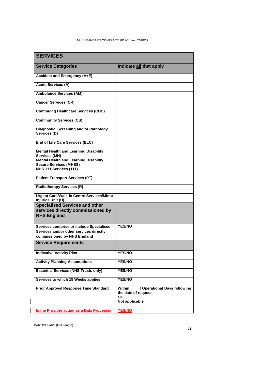| <b>SERVICES</b>                                                               |                                                                 |
|-------------------------------------------------------------------------------|-----------------------------------------------------------------|
| <b>Service Categories</b>                                                     | Indicate all that apply                                         |
| <b>Accident and Emergency (A+E)</b>                                           |                                                                 |
| <b>Acute Services (A)</b>                                                     |                                                                 |
| <b>Ambulance Services (AM)</b>                                                |                                                                 |
| <b>Cancer Services (CR)</b>                                                   |                                                                 |
| <b>Continuing Healthcare Services (CHC)</b>                                   |                                                                 |
| <b>Community Services (CS)</b>                                                |                                                                 |
| Diagnostic, Screening and/or Pathology<br>Services (D)                        |                                                                 |
| <b>End of Life Care Services (ELC)</b>                                        |                                                                 |
| <b>Mental Health and Learning Disability</b><br>Services (MH)                 |                                                                 |
| <b>Mental Health and Learning Disability</b><br><b>Secure Services (MHSS)</b> |                                                                 |
| NHS 111 Services (111)                                                        |                                                                 |
| <b>Patient Transport Services (PT)</b>                                        |                                                                 |
| <b>Radiotherapy Services (R)</b>                                              |                                                                 |
| <b>Urgent Care/Walk-in Centre Services/Minor</b><br>Injuries Unit (U)         |                                                                 |
| <b>Specialised Services and other</b>                                         |                                                                 |
| services directly commissioned by                                             |                                                                 |
| <b>NHS England</b>                                                            |                                                                 |
| Services comprise or include Specialised                                      | <b>YES/NO</b>                                                   |
| Services and/or other services directly                                       |                                                                 |
| commissioned by NHS England                                                   |                                                                 |
| <b>Service Requirements</b>                                                   |                                                                 |
| <b>Indicative Activity Plan</b>                                               | <b>YES/NO</b>                                                   |
| <b>Activity Planning Assumptions</b>                                          | <b>YES/NO</b>                                                   |
| <b>Essential Services (NHS Trusts only)</b>                                   | <b>YES/NO</b>                                                   |
| Services to which 18 Weeks applies                                            | <b>YES/NO</b>                                                   |
| <b>Prior Approval Response Time Standard</b>                                  | ] Operational Days following<br>Within [<br>the date of request |
|                                                                               | Or<br>Not applicable                                            |
| Is the Provider acting as a Data Processor                                    | <b>YES/NO</b>                                                   |
|                                                                               |                                                                 |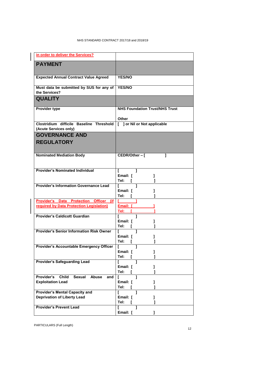| in order to deliver the Services?                                             |                                                |
|-------------------------------------------------------------------------------|------------------------------------------------|
| <b>PAYMENT</b>                                                                |                                                |
| <b>Expected Annual Contract Value Agreed</b>                                  | <b>YES/NO</b>                                  |
| Must data be submitted by SUS for any of   YES/NO<br>the Services?            |                                                |
| <b>QUALITY</b>                                                                |                                                |
| <b>Provider type</b>                                                          | <b>NHS Foundation Trust/NHS Trust</b><br>Other |
| Clostridium difficile Baseline Threshold<br>(Acute Services only)             | [ ] or Nil or Not applicable                   |
| <b>GOVERNANCE AND</b><br><b>REGULATORY</b>                                    |                                                |
| <b>Nominated Mediation Body</b>                                               | 1<br>CEDR/Other - [                            |
| <b>Provider's Nominated Individual</b>                                        | L<br>Email: [<br>1<br>Tel:<br>L                |
| <b>Provider's Information Governance Lead</b>                                 | Email: [<br>1<br>Tel:<br>1                     |
| Provider's Data Protection Officer (if                                        |                                                |
| required by Data Protection Legislation)                                      | Email: $\Gamma$<br>Tel: T<br>1                 |
| <b>Provider's Caldicott Guardian</b>                                          | 1<br>Email: [<br>1<br>Tel:<br>1<br>Г           |
| <b>Provider's Senior Information Risk Owner</b>                               | Г<br>Email: I<br>1<br>Tel:                     |
| Provider's Accountable Emergency Officer                                      | I<br>Email: [<br>Tel:                          |
| <b>Provider's Safeguarding Lead</b>                                           | L<br>Email: [<br>Tel:                          |
| Provider's<br><b>Child</b><br>Sexual Abuse<br>and<br><b>Exploitation Lead</b> | Г<br>Email: [<br>Tel:<br>ſ<br>1                |
| <b>Provider's Mental Capacity and</b><br><b>Deprivation of Liberty Lead</b>   | Г<br>Email: [<br>1<br>Tel:                     |
| <b>Provider's Prevent Lead</b>                                                | Email: [                                       |

PARTICULARS (Full Length)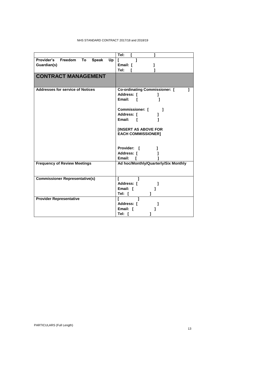|                                                                      | Tel:                                                                                                                                                                                                                                |
|----------------------------------------------------------------------|-------------------------------------------------------------------------------------------------------------------------------------------------------------------------------------------------------------------------------------|
| Provider's Freedom<br><b>To</b><br><b>Speak</b><br>Up<br>Guardian(s) | Г<br>Email: [<br>Tel:                                                                                                                                                                                                               |
| <b>CONTRACT MANAGEMENT</b>                                           |                                                                                                                                                                                                                                     |
| <b>Addresses for service of Notices</b>                              | <b>Co-ordinating Commissioner:</b> [<br>Address: [<br>Email:<br>$\blacksquare$<br>Commissioner: [<br>1<br>Address: [<br>Email: [<br><b>[INSERT AS ABOVE FOR</b><br><b>EACH COMMISSIONER]</b><br>Provider: [<br>Address: [<br>Email: |
| <b>Frequency of Review Meetings</b>                                  | Ad hoc/Monthly/Quarterly/Six Monthly                                                                                                                                                                                                |
| <b>Commissioner Representative(s)</b>                                | Г<br>Address: [<br>Email: [<br>Tel: [                                                                                                                                                                                               |
| <b>Provider Representative</b>                                       | L<br>Address: [<br>Email: [<br>Tel: I                                                                                                                                                                                               |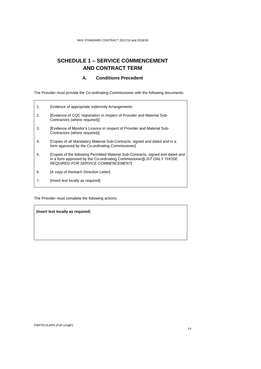# <span id="page-13-0"></span>**SCHEDULE 1 – SERVICE COMMENCEMENT AND CONTRACT TERM**

#### **A. Conditions Precedent**

<span id="page-13-1"></span>The Provider must provide the Co-ordinating Commissioner with the following documents:

| 1. | Evidence of appropriate Indemnity Arrangements                                                                                                                                                       |
|----|------------------------------------------------------------------------------------------------------------------------------------------------------------------------------------------------------|
| 2. | [Evidence of CQC registration in respect of Provider and Material Sub-<br>Contractors (where required)]                                                                                              |
| 3. | [Evidence of Monitor's Licence in respect of Provider and Material Sub-<br>Contractors (where required)]                                                                                             |
| 4. | [Copies of all Mandatory Material Sub-Contracts, signed and dated and in a<br>form approved by the Co-ordinating Commissioner                                                                        |
| 5. | [Copies of the following Permitted Material Sub-Contracts, signed and dated and<br>in a form approved by the Co-ordinating Commissioner][LIST ONLY THOSE<br><b>REQUIRED FOR SERVICE COMMENCEMENT</b> |
| 6. | [A copy of the/each Direction Letter]                                                                                                                                                                |
| 7. | [Insert text locally as required]                                                                                                                                                                    |
|    |                                                                                                                                                                                                      |

The Provider must complete the following actions:

[**Insert text locally as required**]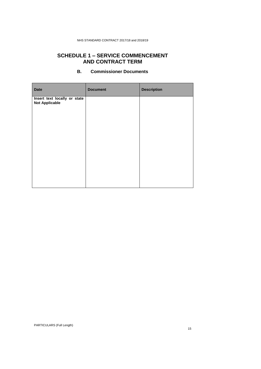#### **SCHEDULE 1 – SERVICE COMMENCEMENT AND CONTRACT TERM**

<span id="page-14-0"></span>

| <b>Date</b>                                           | <b>Document</b> | <b>Description</b> |
|-------------------------------------------------------|-----------------|--------------------|
| Insert text locally or state<br><b>Not Applicable</b> |                 |                    |
|                                                       |                 |                    |
|                                                       |                 |                    |
|                                                       |                 |                    |
|                                                       |                 |                    |
|                                                       |                 |                    |
|                                                       |                 |                    |
|                                                       |                 |                    |

#### **B. Commissioner Documents**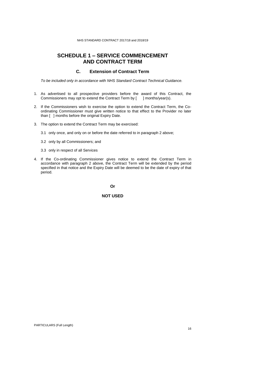#### **SCHEDULE 1 – SERVICE COMMENCEMENT AND CONTRACT TERM**

#### **C. Extension of Contract Term**

<span id="page-15-0"></span>*To be included only in accordance with NHS Standard Contract Technical Guidance.*

- 1. As advertised to all prospective providers before the award of this Contract, the Commissioners may opt to extend the Contract Term by [ ] months/year(s).
- 2. If the Commissioners wish to exercise the option to extend the Contract Term, the Coordinating Commissioner must give written notice to that effect to the Provider no later than [ ] months before the original Expiry Date.
- 3. The option to extend the Contract Term may be exercised:
	- 3.1 only once, and only on or before the date referred to in paragraph 2 above;
	- 3.2 only by all Commissioners; and
	- 3.3 only in respect of all Services
- 4. If the Co-ordinating Commissioner gives notice to extend the Contract Term in accordance with paragraph 2 above, the Contract Term will be extended by the period specified in that notice and the Expiry Date will be deemed to be the date of expiry of that period.

**Or**

#### **NOT USED**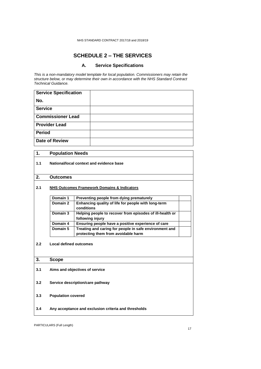### **SCHEDULE 2 – THE SERVICES**

#### **A. Service Specifications**

<span id="page-16-1"></span><span id="page-16-0"></span>*This is a non-mandatory model template for local population. Commissioners may retain the structure below, or may determine their own in accordance with the NHS Standard Contract Technical Guidance.*

| <b>Service Specification</b> |  |
|------------------------------|--|
| No.                          |  |
| <b>Service</b>               |  |
| <b>Commissioner Lead</b>     |  |
| <b>Provider Lead</b>         |  |
| <b>Period</b>                |  |
| <b>Date of Review</b>        |  |

| $\mathbf 1$ . | <b>Population Needs</b>                                |                                                                                               |  |
|---------------|--------------------------------------------------------|-----------------------------------------------------------------------------------------------|--|
| 1.1           | National/local context and evidence base               |                                                                                               |  |
| 2.            | <b>Outcomes</b>                                        |                                                                                               |  |
| 2.1           | <b>NHS Outcomes Framework Domains &amp; Indicators</b> |                                                                                               |  |
|               | Domain 1                                               | Preventing people from dying prematurely                                                      |  |
|               | Domain 2                                               | Enhancing quality of life for people with long-term<br>conditions                             |  |
|               | Domain 3                                               | Helping people to recover from episodes of ill-health or<br>following injury                  |  |
|               | Domain 4                                               | Ensuring people have a positive experience of care                                            |  |
|               | Domain 5                                               | Treating and caring for people in safe environment and<br>protecting them from avoidable harm |  |
| 2.2           | <b>Local defined outcomes</b>                          |                                                                                               |  |
| 3.            | <b>Scope</b>                                           |                                                                                               |  |
| 3.1           | Aims and objectives of service                         |                                                                                               |  |
| 3.2           | Service description/care pathway                       |                                                                                               |  |
| 3.3           | <b>Population covered</b>                              |                                                                                               |  |
| 3.4           | Any acceptance and exclusion criteria and thresholds   |                                                                                               |  |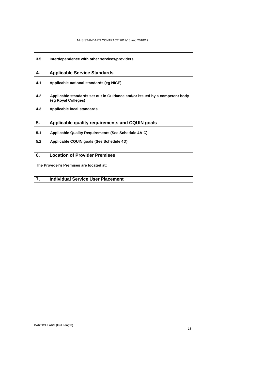| 3.5                                     | Interdependence with other services/providers                                                     |  |
|-----------------------------------------|---------------------------------------------------------------------------------------------------|--|
| 4.                                      | <b>Applicable Service Standards</b>                                                               |  |
| 4.1                                     | Applicable national standards (eg NICE)                                                           |  |
| 4.2                                     | Applicable standards set out in Guidance and/or issued by a competent body<br>(eg Royal Colleges) |  |
| 4.3                                     | Applicable local standards                                                                        |  |
| 5.                                      | Applicable quality requirements and CQUIN goals                                                   |  |
| 5.1                                     | <b>Applicable Quality Requirements (See Schedule 4A-C)</b>                                        |  |
| 5.2                                     | Applicable CQUIN goals (See Schedule 4D)                                                          |  |
| 6.                                      | <b>Location of Provider Premises</b>                                                              |  |
| The Provider's Premises are located at: |                                                                                                   |  |
| 7.                                      | <b>Individual Service User Placement</b>                                                          |  |
|                                         |                                                                                                   |  |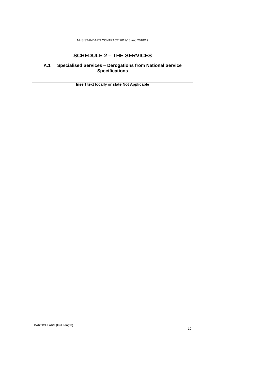### **SCHEDULE 2 – THE SERVICES**

#### <span id="page-18-0"></span>**A.1 Specialised Services – Derogations from National Service Specifications**

**Insert text locally or state Not Applicable**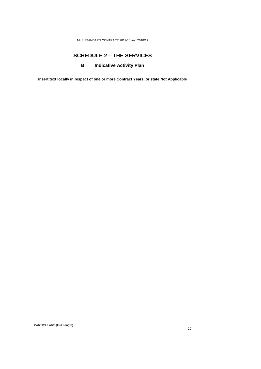### **SCHEDULE 2 – THE SERVICES**

#### **B. Indicative Activity Plan**

<span id="page-19-0"></span>**Insert text locally in respect of one or more Contract Years, or state Not Applicable**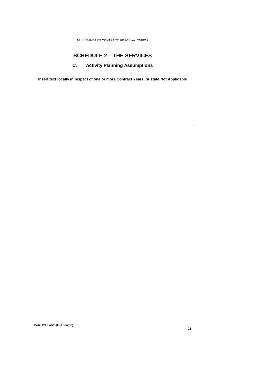### **SCHEDULE 2 – THE SERVICES**

### **C. Activity Planning Assumptions**

<span id="page-20-0"></span>**Insert text locally in respect of one or more Contract Years, or state Not Applicable**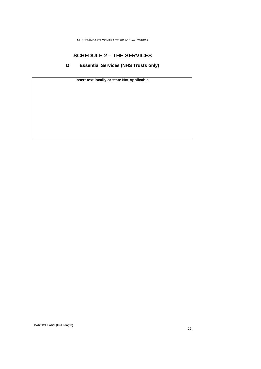### **SCHEDULE 2 – THE SERVICES**

<span id="page-21-0"></span>**D. Essential Services (NHS Trusts only)**

**Insert text locally or state Not Applicable**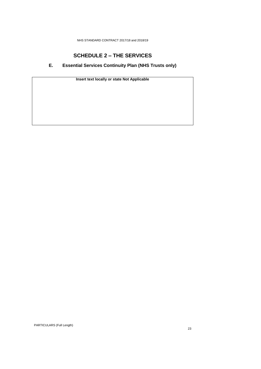# **SCHEDULE 2 – THE SERVICES**

### <span id="page-22-0"></span>**E. Essential Services Continuity Plan (NHS Trusts only)**

**Insert text locally or state Not Applicable**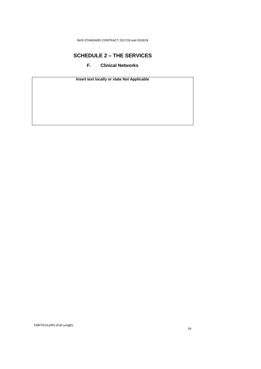### **SCHEDULE 2 – THE SERVICES**

### **F. Clinical Networks**

<span id="page-23-0"></span>**Insert text locally or state Not Applicable**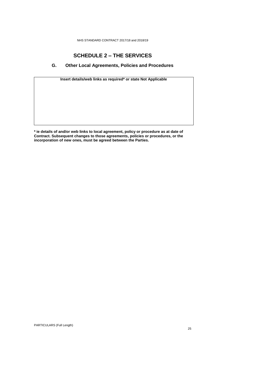### **SCHEDULE 2 – THE SERVICES**

#### **G. Other Local Agreements, Policies and Procedures**

<span id="page-24-0"></span>

| Insert details/web links as required* or state Not Applicable |  |  |
|---------------------------------------------------------------|--|--|
|                                                               |  |  |
|                                                               |  |  |
|                                                               |  |  |
|                                                               |  |  |
|                                                               |  |  |
|                                                               |  |  |

**\* ie details of and/or web links to local agreement, policy or procedure as at date of Contract. Subsequent changes to those agreements, policies or procedures, or the incorporation of new ones, must be agreed between the Parties.**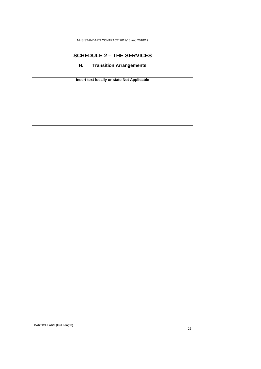### <span id="page-25-0"></span>**SCHEDULE 2 – THE SERVICES**

**H. Transition Arrangements**

**Insert text locally or state Not Applicable**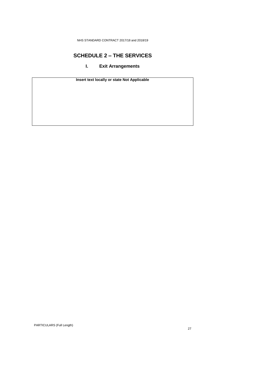### <span id="page-26-0"></span>**SCHEDULE 2 – THE SERVICES**

### **I. Exit Arrangements**

**Insert text locally or state Not Applicable**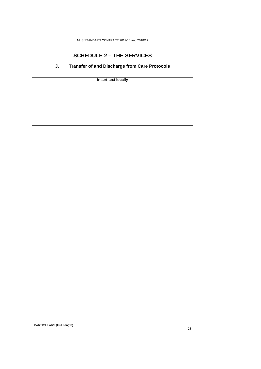# **SCHEDULE 2 – THE SERVICES**

### **J. Transfer of and Discharge from Care Protocols**

<span id="page-27-0"></span>**Insert text locally**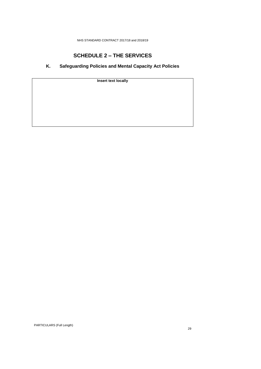# **SCHEDULE 2 – THE SERVICES**

### **K. Safeguarding Policies and Mental Capacity Act Policies**

<span id="page-28-0"></span>**Insert text locally**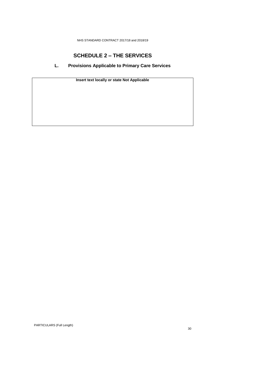### **SCHEDULE 2 – THE SERVICES**

#### <span id="page-29-0"></span>**L. Provisions Applicable to Primary Care Services**

**Insert text locally or state Not Applicable**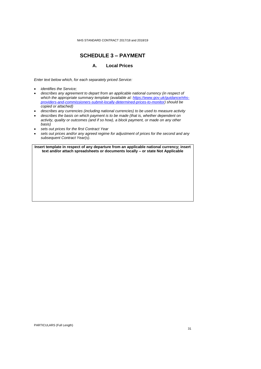### **SCHEDULE 3 – PAYMENT**

#### **A. Local Prices**

<span id="page-30-1"></span><span id="page-30-0"></span>*Enter text below which, for each separately priced Service:*

- *identifies the Service;*
- *describes any agreement to depart from an applicable national currency (in respect of which the appropriate summary template (available at: [https://www.gov.uk/guidance/nhs](https://www.gov.uk/guidance/nhs-providers-and-commissioners-submit-locally-determined-prices-to-monitor)[providers-and-commissioners-submit-locally-determined-prices-to-monitor\)](https://www.gov.uk/guidance/nhs-providers-and-commissioners-submit-locally-determined-prices-to-monitor) should be copied or attached)*
- *describes any currencies (including national currencies) to be used to measure activity*
- *describes the basis on which payment is to be made (that is, whether dependent on activity, quality or outcomes (and if so how), a block payment, or made on any other basis)*
- *sets out prices for the first Contract Year*
- *sets out prices and/or any agreed regime for adjustment of prices for the second and any subsequent Contract Year(s)*.

**Insert template in respect of any departure from an applicable national currency; insert text and/or attach spreadsheets or documents locally – or state Not Applicable**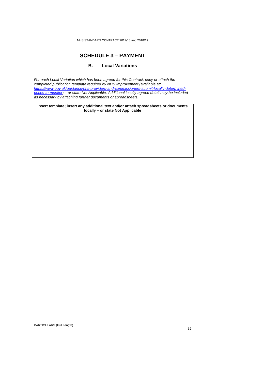# **SCHEDULE 3 – PAYMENT**

#### **B. Local Variations**

<span id="page-31-0"></span>*For each Local Variation which has been agreed for this Contract, copy or attach the completed publication template required by NHS Improvement (available at: [https://www.gov.uk/guidance/nhs-providers-and-commissioners-submit-locally-determined](https://www.gov.uk/guidance/nhs-providers-and-commissioners-submit-locally-determined-prices-to-monitor)[prices-to-monitor\)](https://www.gov.uk/guidance/nhs-providers-and-commissioners-submit-locally-determined-prices-to-monitor) – or state Not Applicable. Additional locally-agreed detail may be included as necessary by attaching further documents or spreadsheets.*

**Insert template; insert any additional text and/or attach spreadsheets or documents locally – or state Not Applicable**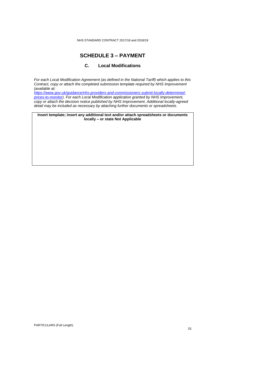#### **SCHEDULE 3 – PAYMENT**

#### **C. Local Modifications**

<span id="page-32-0"></span>*For each Local Modification Agreement (as defined in the National Tariff) which applies to this Contract, copy or attach the completed submission template required by NHS Improvement (available at: [https://www.gov.uk/guidance/nhs-providers-and-commissioners-submit-locally-determined](https://www.gov.uk/guidance/nhs-providers-and-commissioners-submit-locally-determined-prices-to-monitor)[prices-to-monitor\)](https://www.gov.uk/guidance/nhs-providers-and-commissioners-submit-locally-determined-prices-to-monitor). For each Local Modification application granted by NHS Improvement, copy or attach the decision notice published by NHS Improvement. Additional locally-agreed detail may be included as necessary by attaching further documents or spreadsheets*.

**Insert template; insert any additional text and/or attach spreadsheets or documents locally – or state Not Applicable**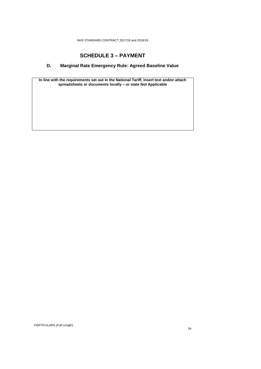### **SCHEDULE 3 – PAYMENT**

### <span id="page-33-0"></span>**D. Marginal Rate Emergency Rule: Agreed Baseline Value**

**In line with the requirements set out in the National Tariff, insert text and/or attach spreadsheets or documents locally – or state Not Applicable**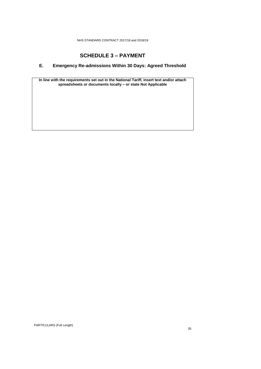### **SCHEDULE 3 – PAYMENT**

### <span id="page-34-0"></span>**E. Emergency Re-admissions Within 30 Days: Agreed Threshold**

**In line with the requirements set out in the National Tariff, insert text and/or attach spreadsheets or documents locally – or state Not Applicable**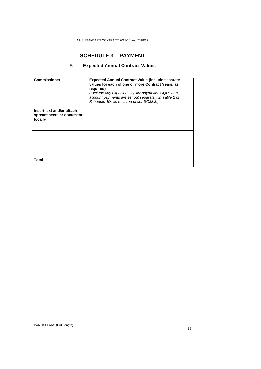# **SCHEDULE 3 – PAYMENT**

### **F. Expected Annual Contract Values**

<span id="page-35-0"></span>

| <b>Commissioner</b>                                               | <b>Expected Annual Contract Value (include separate)</b><br>values for each of one or more Contract Years, as<br>required)<br>(Exclude any expected CQUIN payments. CQUIN on<br>account payments are set out separately in Table 2 of<br>Schedule 4D, as required under SC38.3.) |
|-------------------------------------------------------------------|----------------------------------------------------------------------------------------------------------------------------------------------------------------------------------------------------------------------------------------------------------------------------------|
| Insert text and/or attach<br>spreadsheets or documents<br>locally |                                                                                                                                                                                                                                                                                  |
|                                                                   |                                                                                                                                                                                                                                                                                  |
|                                                                   |                                                                                                                                                                                                                                                                                  |
|                                                                   |                                                                                                                                                                                                                                                                                  |
|                                                                   |                                                                                                                                                                                                                                                                                  |
| Total                                                             |                                                                                                                                                                                                                                                                                  |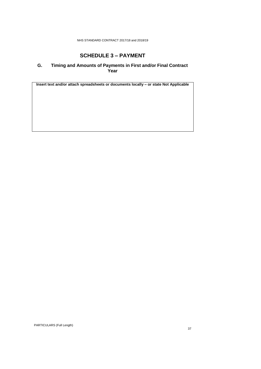# **SCHEDULE 3 – PAYMENT**

### **G. Timing and Amounts of Payments in First and/or Final Contract Year**

**Insert text and/or attach spreadsheets or documents locally – or state Not Applicable**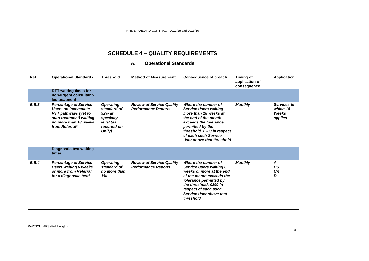# **SCHEDULE 4 – QUALITY REQUIREMENTS**

## **A. Operational Standards**

| Ref   | <b>Operational Standards</b>                                                                                                                                     | <b>Threshold</b>                                                                                | <b>Method of Measurement</b>                                   | <b>Consequence of breach</b>                                                                                                                                                                                                         | Timing of<br>application of<br>consequence | <b>Application</b>                          |
|-------|------------------------------------------------------------------------------------------------------------------------------------------------------------------|-------------------------------------------------------------------------------------------------|----------------------------------------------------------------|--------------------------------------------------------------------------------------------------------------------------------------------------------------------------------------------------------------------------------------|--------------------------------------------|---------------------------------------------|
|       | <b>RTT waiting times for</b><br>non-urgent consultant-<br>led treatment                                                                                          |                                                                                                 |                                                                |                                                                                                                                                                                                                                      |                                            |                                             |
| E.B.3 | <b>Percentage of Service</b><br><b>Users on incomplete</b><br><b>RTT pathways (yet to</b><br>start treatment) waiting<br>no more than 18 weeks<br>from Referral* | <b>Operating</b><br>standard of<br>$92\%$ at<br>specialty<br>level (as<br>reported on<br>Unify) | <b>Review of Service Quality</b><br><b>Performance Reports</b> | Where the number of<br><b>Service Users waiting</b><br>more than 18 weeks at<br>the end of the month<br>exceeds the tolerance<br>permitted by the<br>threshold, £300 in respect<br>of each such Service<br>User above that threshold | <b>Monthly</b>                             | Services to<br>which 18<br>Weeks<br>applies |
|       | <b>Diagnostic test waiting</b><br>times                                                                                                                          |                                                                                                 |                                                                |                                                                                                                                                                                                                                      |                                            |                                             |
| E.B.4 | <b>Percentage of Service</b><br><b>Users waiting 6 weeks</b><br>or more from Referral<br>for a diagnostic test*                                                  | <b>Operating</b><br>standard of<br>no more than<br>1%                                           | <b>Review of Service Quality</b><br><b>Performance Reports</b> | Where the number of<br><b>Service Users waiting 6</b><br>weeks or more at the end<br>of the month exceeds the<br>tolerance permitted by<br>the threshold, £200 in<br>respect of each such<br>Service User above that<br>threshold    | <b>Monthly</b>                             | A<br><b>CS</b><br><b>CR</b><br>D            |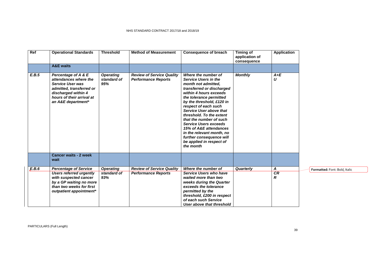| Ref   | <b>Operational Standards</b>                                                                                                                                                  | <b>Threshold</b>                       | <b>Method of Measurement</b>                                   | <b>Consequence of breach</b>                                                                                                                                                                                                                                                                                                                                                                                                                            | <b>Timing of</b><br>application of<br>consequence | <b>Application</b> |                               |
|-------|-------------------------------------------------------------------------------------------------------------------------------------------------------------------------------|----------------------------------------|----------------------------------------------------------------|---------------------------------------------------------------------------------------------------------------------------------------------------------------------------------------------------------------------------------------------------------------------------------------------------------------------------------------------------------------------------------------------------------------------------------------------------------|---------------------------------------------------|--------------------|-------------------------------|
|       | <b>A&amp;E</b> waits                                                                                                                                                          |                                        |                                                                |                                                                                                                                                                                                                                                                                                                                                                                                                                                         |                                                   |                    |                               |
| E.B.5 | Percentage of A & E<br>attendances where the<br><b>Service User was</b><br>admitted, transferred or<br>discharged within 4<br>hours of their arrival at<br>an A&E department* | <b>Operating</b><br>standard of<br>95% | <b>Review of Service Quality</b><br><b>Performance Reports</b> | Where the number of<br>Service Users in the<br>month not admitted,<br>transferred or discharged<br>within 4 hours exceeds<br>the tolerance permitted<br>by the threshold, £120 in<br>respect of each such<br>Service User above that<br>threshold. To the extent<br>that the number of such<br><b>Service Users exceeds</b><br>15% of A&E attendances<br>in the relevant month, no<br>further consequence will<br>be applied in respect of<br>the month | <b>Monthly</b>                                    | $A + E$<br>U       |                               |
|       | <b>Cancer waits - 2 week</b><br>wait                                                                                                                                          |                                        |                                                                |                                                                                                                                                                                                                                                                                                                                                                                                                                                         |                                                   |                    |                               |
| E.B.6 | <b>Percentage of Service</b>                                                                                                                                                  | <b>Operating</b>                       | <b>Review of Service Quality</b>                               | Where the number of                                                                                                                                                                                                                                                                                                                                                                                                                                     | Quarterly                                         | A                  | Formatted: Font: Bold, Italic |
|       | <b>Users referred urgently</b><br>with suspected cancer<br>by a GP waiting no more<br>than two weeks for first<br>outpatient appointment*                                     | standard of<br>93%                     | <b>Performance Reports</b>                                     | Service Users who have<br>waited more than two<br>weeks during the Quarter<br>exceeds the tolerance<br>permitted by the<br>threshold, £200 in respect<br>of each such Service<br>User above that threshold                                                                                                                                                                                                                                              |                                                   | <b>CR</b><br>R     |                               |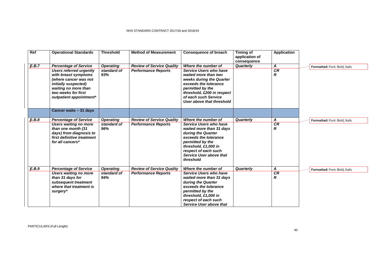| Ref   | <b>Operational Standards</b>                                                                                                                                                                                      | <b>Threshold</b>                       | <b>Method of Measurement</b>                                   | <b>Consequence of breach</b>                                                                                                                                                                                                                | <b>Timing of</b><br>application of<br>consequence | <b>Application</b>  |                               |
|-------|-------------------------------------------------------------------------------------------------------------------------------------------------------------------------------------------------------------------|----------------------------------------|----------------------------------------------------------------|---------------------------------------------------------------------------------------------------------------------------------------------------------------------------------------------------------------------------------------------|---------------------------------------------------|---------------------|-------------------------------|
| E.B.7 | <b>Percentage of Service</b><br><b>Users referred urgently</b><br>with breast symptoms<br>(where cancer was not<br>initially suspected)<br>waiting no more than<br>two weeks for first<br>outpatient appointment* | <b>Operating</b><br>standard of<br>93% | <b>Review of Service Quality</b><br><b>Performance Reports</b> | Where the number of<br><b>Service Users who have</b><br>waited more than two<br>weeks during the Quarter<br>exceeds the tolerance<br>permitted by the<br>threshold, £200 in respect<br>of each such Service<br>User above that threshold    | Quarterly                                         | A<br><b>CR</b><br>R | Formatted: Font: Bold, Italic |
|       | Cancer waits - 31 days                                                                                                                                                                                            |                                        |                                                                |                                                                                                                                                                                                                                             |                                                   |                     |                               |
| E.B.8 | <b>Percentage of Service</b><br><b>Users waiting no more</b><br>than one month (31<br>days) from diagnosis to<br>first definitive treatment<br>for all cancers*                                                   | <b>Operating</b><br>standard of<br>96% | <b>Review of Service Quality</b><br><b>Performance Reports</b> | Where the number of<br><b>Service Users who have</b><br>waited more than 31 days<br>during the Quarter<br>exceeds the tolerance<br>permitted by the<br>threshold, £1,000 in<br>respect of each such<br>Service User above that<br>threshold | Quarterly                                         | Α<br>CR<br>R        | Formatted: Font: Bold, Italic |
| E.B.9 | <b>Percentage of Service</b><br><b>Users waiting no more</b><br>than 31 days for<br>subsequent treatment<br>where that treatment is<br>surgery*                                                                   | <b>Operating</b><br>standard of<br>94% | <b>Review of Service Quality</b><br><b>Performance Reports</b> | Where the number of<br><b>Service Users who have</b><br>waited more than 31 days<br>during the Quarter<br>exceeds the tolerance<br>permitted by the<br>threshold, £1,000 in<br>respect of each such<br><b>Service User above that</b>       | Quarterly                                         | Α<br><b>CR</b><br>R | Formatted: Font: Bold, Italic |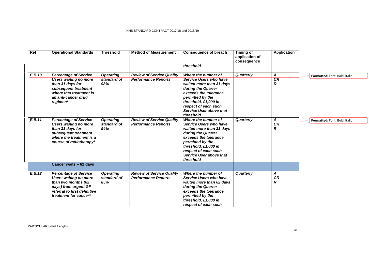| Ref    | <b>Operational Standards</b>                                                                                                                                         | <b>Threshold</b>                       | <b>Method of Measurement</b>                                   | <b>Consequence of breach</b><br>threshold                                                                                                                                                                     | <b>Timing of</b><br>application of<br>consequence | <b>Application</b>  |                               |
|--------|----------------------------------------------------------------------------------------------------------------------------------------------------------------------|----------------------------------------|----------------------------------------------------------------|---------------------------------------------------------------------------------------------------------------------------------------------------------------------------------------------------------------|---------------------------------------------------|---------------------|-------------------------------|
| E.B.10 | <b>Percentage of Service</b><br><b>Users waiting no more</b><br>than 31 days for<br>subsequent treatment<br>where that treatment is<br>an anti-cancer drug           | <b>Operating</b><br>standard of<br>98% | <b>Review of Service Quality</b><br><b>Performance Reports</b> | Where the number of<br>Service Users who have<br>waited more than 31 days<br>during the Quarter<br>exceeds the tolerance<br>permitted by the                                                                  | Quarterly                                         | A<br>CR<br>R        | Formatted: Font: Bold, Italic |
|        | regimen*                                                                                                                                                             |                                        |                                                                | threshold, £1,000 in<br>respect of each such<br><b>Service User above that</b><br>threshold<br>Where the number of                                                                                            |                                                   |                     |                               |
| E.B.11 | <b>Percentage of Service</b><br>Users waiting no more<br>than 31 days for<br>subsequent treatment<br>where the treatment is a<br>course of radiotherapy*             | <b>Operating</b><br>standard of<br>94% | <b>Review of Service Quality</b><br><b>Performance Reports</b> | Service Users who have<br>waited more than 31 days<br>during the Quarter<br>exceeds the tolerance<br>permitted by the<br>threshold, £1,000 in<br>respect of each such<br>Service User above that<br>threshold | Quarterly                                         | A<br>CR<br>R        | Formatted: Font: Bold, Italic |
|        | Cancer waits - 62 days                                                                                                                                               |                                        |                                                                |                                                                                                                                                                                                               |                                                   |                     |                               |
| E.B.12 | <b>Percentage of Service</b><br><b>Users waiting no more</b><br>than two months (62<br>days) from urgent GP<br>referral to first definitive<br>treatment for cancer* | <b>Operating</b><br>standard of<br>85% | <b>Review of Service Quality</b><br><b>Performance Reports</b> | Where the number of<br>Service Users who have<br>waited more than 62 days<br>during the Quarter<br>exceeds the tolerance<br>permitted by the<br>threshold, £1,000 in<br>respect of each such                  | Quarterly                                         | A<br><b>CR</b><br>R |                               |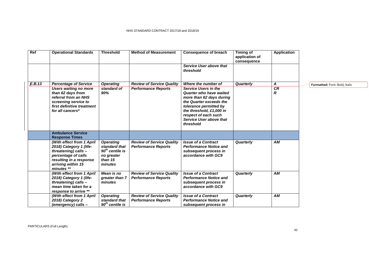| Ref    | <b>Operational Standards</b>                                                                                                                                       | <b>Threshold</b>                                                                           | <b>Method of Measurement</b>                                   | <b>Consequence of breach</b><br>Service User above that                                                                                                                                                                             | <b>Timing of</b><br>application of<br>consequence | <b>Application</b>     |                               |
|--------|--------------------------------------------------------------------------------------------------------------------------------------------------------------------|--------------------------------------------------------------------------------------------|----------------------------------------------------------------|-------------------------------------------------------------------------------------------------------------------------------------------------------------------------------------------------------------------------------------|---------------------------------------------------|------------------------|-------------------------------|
|        |                                                                                                                                                                    |                                                                                            |                                                                | threshold                                                                                                                                                                                                                           |                                                   |                        |                               |
| E.B.13 | <b>Percentage of Service</b>                                                                                                                                       | <b>Operating</b>                                                                           | <b>Review of Service Quality</b>                               | Where the number of                                                                                                                                                                                                                 | Quarterly                                         | A                      | Formatted: Font: Bold, Italic |
|        | <b>Users waiting no more</b><br>than 62 days from<br>referral from an NHS<br>screening service to<br>first definitive treatment<br>for all cancers*                | standard of<br>90%                                                                         | <b>Performance Reports</b>                                     | Service Users in the<br>Quarter who have waited<br>more than 62 days during<br>the Quarter exceeds the<br>tolerance permitted by<br>the threshold, £1,000 in<br>respect of each such<br><b>Service User above that</b><br>threshold |                                                   | CR<br>$\boldsymbol{R}$ |                               |
|        | <b>Ambulance Service</b><br><b>Response Times</b>                                                                                                                  |                                                                                            |                                                                |                                                                                                                                                                                                                                     |                                                   |                        |                               |
|        | (With effect from 1 April<br>2018) Category 1 (life-<br>threatening) calls -<br>percentage of calls<br>resulting in a response<br>arriving within 15<br>minutes ** | <b>Operating</b><br>standard that<br>$90th$ centile is<br>no greater<br>than 15<br>minutes | <b>Review of Service Quality</b><br><b>Performance Reports</b> | <b>Issue of a Contract</b><br><b>Performance Notice and</b><br>subsequent process in<br>accordance with GC9                                                                                                                         | Quarterly                                         | <b>AM</b>              |                               |
|        | (With effect from 1 April<br>2018) Category 1 (life-<br>threatening) calls -<br>mean time taken for a<br>response to arrive **                                     | Mean is no<br>greater than 7<br>minutes                                                    | <b>Review of Service Quality</b><br><b>Performance Reports</b> | <b>Issue of a Contract</b><br><b>Performance Notice and</b><br>subsequent process in<br>accordance with GC9                                                                                                                         | Quarterly                                         | AM                     |                               |
|        | (With effect from 1 April<br>2018) Category 2<br>(emergency) calls -                                                                                               | <b>Operating</b><br>standard that<br>$90th$ centile is                                     | <b>Review of Service Quality</b><br><b>Performance Reports</b> | <b>Issue of a Contract</b><br><b>Performance Notice and</b><br>subsequent process in                                                                                                                                                | Quarterly                                         | AM                     |                               |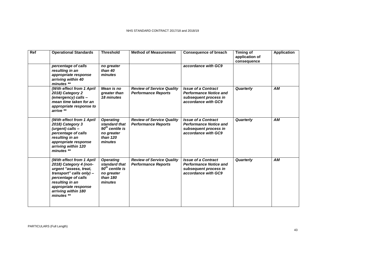| Ref | <b>Operational Standards</b>                                                                                                                                                                                     | <b>Threshold</b>                                                                            | <b>Method of Measurement</b>                                   | <b>Consequence of breach</b>                                                                                | Timing of<br>application of<br>consequence | <b>Application</b> |
|-----|------------------------------------------------------------------------------------------------------------------------------------------------------------------------------------------------------------------|---------------------------------------------------------------------------------------------|----------------------------------------------------------------|-------------------------------------------------------------------------------------------------------------|--------------------------------------------|--------------------|
|     | percentage of calls<br>resulting in an<br>appropriate response<br>arriving within 40<br>minutes **                                                                                                               | no greater<br>than 40<br>minutes                                                            |                                                                | accordance with GC9                                                                                         |                                            |                    |
|     | (With effect from 1 April<br>2018) Category 2<br>(emergency) calls -<br>mean time taken for an<br>appropriate response to<br>arrive **                                                                           | Mean is no<br>greater than<br>18 minutes                                                    | <b>Review of Service Quality</b><br><b>Performance Reports</b> | <b>Issue of a Contract</b><br><b>Performance Notice and</b><br>subsequent process in<br>accordance with GC9 | Quarterly                                  | AМ                 |
|     | (With effect from 1 April<br>2018) Category 3<br>(urgent) calls -<br>percentage of calls<br>resulting in an<br>appropriate response<br>arriving within 120<br>minutes **                                         | <b>Operating</b><br>standard that<br>$90th$ centile is<br>no greater<br>than 120<br>minutes | <b>Review of Service Quality</b><br><b>Performance Reports</b> | <b>Issue of a Contract</b><br><b>Performance Notice and</b><br>subsequent process in<br>accordance with GC9 | Quarterly                                  | AM                 |
|     | (With effect from 1 April<br>2018) Category 4 (non-<br>urgent "assess, treat,<br>transport" calls only) -<br>percentage of calls<br>resulting in an<br>appropriate response<br>arriving within 180<br>minutes ** | <b>Operating</b><br>standard that<br>$90th$ centile is<br>no greater<br>than 180<br>minutes | <b>Review of Service Quality</b><br><b>Performance Reports</b> | <b>Issue of a Contract</b><br><b>Performance Notice and</b><br>subsequent process in<br>accordance with GC9 | Quarterly                                  | <b>AM</b>          |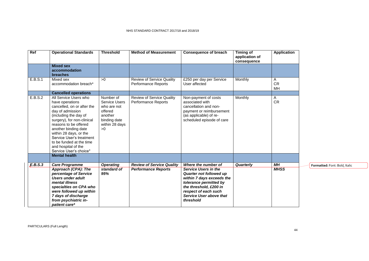| Ref     | <b>Operational Standards</b>                                                                                                                                                                                                                                                                                                          | <b>Threshold</b>                                                                                               | <b>Method of Measurement</b>                                   | <b>Consequence of breach</b>                                                                                                                                                                                   | <b>Timing of</b><br>application of<br>consequence | <b>Application</b>   |                               |
|---------|---------------------------------------------------------------------------------------------------------------------------------------------------------------------------------------------------------------------------------------------------------------------------------------------------------------------------------------|----------------------------------------------------------------------------------------------------------------|----------------------------------------------------------------|----------------------------------------------------------------------------------------------------------------------------------------------------------------------------------------------------------------|---------------------------------------------------|----------------------|-------------------------------|
|         | <b>Mixed sex</b><br>accommodation<br>breaches                                                                                                                                                                                                                                                                                         |                                                                                                                |                                                                |                                                                                                                                                                                                                |                                                   |                      |                               |
| E.B.S.1 | Mixed sex<br>accommodation breach*                                                                                                                                                                                                                                                                                                    | >0                                                                                                             | <b>Review of Service Quality</b><br><b>Performance Reports</b> | £250 per day per Service<br>User affected                                                                                                                                                                      | Monthly                                           | A<br><b>CR</b><br>MН |                               |
|         | <b>Cancelled operations</b>                                                                                                                                                                                                                                                                                                           |                                                                                                                |                                                                |                                                                                                                                                                                                                |                                                   |                      |                               |
| E.B.S.2 | All Service Users who<br>have operations<br>cancelled, on or after the<br>day of admission<br>(including the day of<br>surgery), for non-clinical<br>reasons to be offered<br>another binding date<br>within 28 days, or the<br>Service User's treatment<br>to be funded at the time<br>and hospital of the<br>Service User's choice* | Number of<br><b>Service Users</b><br>who are not<br>offered<br>another<br>binding date<br>within 28 days<br>>0 | Review of Service Quality<br><b>Performance Reports</b>        | Non-payment of costs<br>associated with<br>cancellation and non-<br>payment or reimbursement<br>(as applicable) of re-<br>scheduled episode of care                                                            | Monthly                                           | A<br><b>CR</b>       |                               |
|         | <b>Mental health</b>                                                                                                                                                                                                                                                                                                                  |                                                                                                                |                                                                |                                                                                                                                                                                                                |                                                   |                      |                               |
| E.B.S.3 | <b>Care Programme</b>                                                                                                                                                                                                                                                                                                                 | <b>Operating</b>                                                                                               | <b>Review of Service Quality</b>                               | Where the number of                                                                                                                                                                                            | Quarterly                                         | <b>MH</b>            | Formatted: Font: Bold, Italic |
|         | Approach (CPA): The<br>percentage of Service<br><b>Users under adult</b><br>mental illness<br>specialties on CPA who<br>were followed up within<br>7 days of discharge<br>from psychiatric in-<br>patient care*                                                                                                                       | standard of<br>95%                                                                                             | <b>Performance Reports</b>                                     | <b>Service Users in the</b><br><b>Quarter not followed up</b><br>within 7 days exceeds the<br>tolerance permitted by<br>the threshold, £200 in<br>respect of each such<br>Service User above that<br>threshold |                                                   | <b>MHSS</b>          |                               |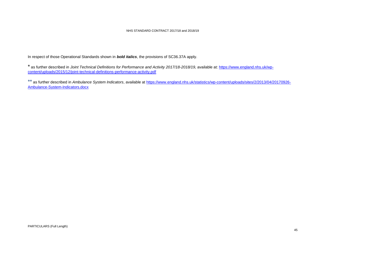In respect of those Operational Standards shown in *bold italics*, the provisions of SC36.37A apply.

\* as further described in *Joint Technical Definitions for Performance and Activity 2017/18-2018/19*, available at: [https://www.england.nhs.uk/wp](https://www.england.nhs.uk/wp-content/uploads/2015/12/joint-technical-definitions-performance-activity.pdf)[content/uploads/2015/12/joint-technical-definitions-performance-activity.pdf](https://www.england.nhs.uk/wp-content/uploads/2015/12/joint-technical-definitions-performance-activity.pdf)

\*\* as further described in *Ambulance System Indicators*, available at [https://www.england.nhs.uk/statistics/wp-content/uploads/sites/2/2013/04/20170926-](https://www.england.nhs.uk/statistics/wp-content/uploads/sites/2/2013/04/20170926-Ambulance-System-Indicators.docx) [Ambulance-System-Indicators.docx](https://www.england.nhs.uk/statistics/wp-content/uploads/sites/2/2013/04/20170926-Ambulance-System-Indicators.docx)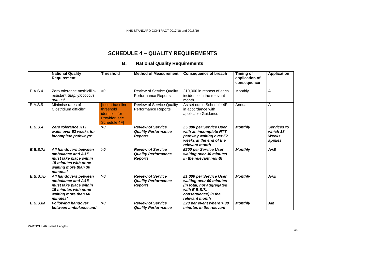# **SCHEDULE 4 – QUALITY REQUIREMENTS**

## **B. National Quality Requirements**

|          | <b>National Quality</b><br>Requirement                                                                                           | <b>Threshold</b>                                                                        | <b>Method of Measurement</b>                                             | <b>Consequence of breach</b>                                                                                                              | Timing of<br>application of<br>consequence | <b>Application</b>                          |
|----------|----------------------------------------------------------------------------------------------------------------------------------|-----------------------------------------------------------------------------------------|--------------------------------------------------------------------------|-------------------------------------------------------------------------------------------------------------------------------------------|--------------------------------------------|---------------------------------------------|
| E.A.S.4  | Zero tolerance methicillin-<br>resistant Staphylococcus<br>aureus*                                                               | >0                                                                                      | <b>Review of Service Quality</b><br>Performance Reports                  | £10,000 in respect of each<br>incidence in the relevant<br>month                                                                          | Monthly                                    | A                                           |
| E.A.S.5  | Minimise rates of<br>Clostridium difficile*                                                                                      | <b>[Insert baseline</b><br>threshold<br>identified for<br>Provider: see<br>Schedule 4F] | Review of Service Quality<br>Performance Reports                         | As set out in Schedule 4F,<br>in accordance with<br>applicable Guidance                                                                   | Annual                                     | $\overline{A}$                              |
| E.B.S.4  | <b>Zero tolerance RTT</b><br>waits over 52 weeks for<br>incomplete pathways*                                                     | 50                                                                                      | <b>Review of Service</b><br><b>Quality Performance</b><br><b>Reports</b> | £5,000 per Service User<br>with an incomplete RTT<br>pathway waiting over 52<br>weeks at the end of the<br>relevant month                 | <b>Monthly</b>                             | Services to<br>which 18<br>Weeks<br>applies |
| E.B.S.7a | All handovers between<br>ambulance and A&E<br>must take place within<br>15 minutes with none<br>waiting more than 30<br>minutes* | >0                                                                                      | <b>Review of Service</b><br><b>Quality Performance</b><br><b>Reports</b> | £200 per Service User<br>waiting over 30 minutes<br>in the relevant month                                                                 | <b>Monthly</b>                             | $A+E$                                       |
| E.B.S.7b | All handovers between<br>ambulance and A&E<br>must take place within<br>15 minutes with none<br>waiting more than 60<br>minutes* | >0                                                                                      | <b>Review of Service</b><br><b>Quality Performance</b><br><b>Reports</b> | £1,000 per Service User<br>waiting over 60 minutes<br>(in total, not aggregated<br>with E.B.S.7a<br>consequence) in the<br>relevant month | <b>Monthly</b>                             | $A+E$                                       |
| E.B.S.8a | <b>Following handover</b><br>between ambulance and                                                                               | >0                                                                                      | <b>Review of Service</b><br><b>Quality Performance</b>                   | £20 per event where $>$ 30<br>minutes in the relevant                                                                                     | <b>Monthly</b>                             | AM                                          |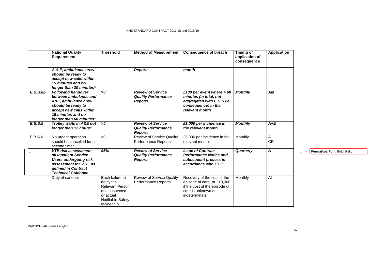|          | <b>National Quality</b><br>Requirement                                                                                                                                     | <b>Threshold</b>                                                                                                           | <b>Method of Measurement</b>                                             | <b>Consequence of breach</b>                                                                                                       | <b>Timing of</b><br>application of<br>consequence | <b>Application</b> |
|----------|----------------------------------------------------------------------------------------------------------------------------------------------------------------------------|----------------------------------------------------------------------------------------------------------------------------|--------------------------------------------------------------------------|------------------------------------------------------------------------------------------------------------------------------------|---------------------------------------------------|--------------------|
|          | A & E, ambulance crew<br>should be ready to<br>accept new calls within<br>15 minutes and no<br>longer than 30 minutes*                                                     |                                                                                                                            | <b>Reports</b>                                                           | month                                                                                                                              |                                                   |                    |
| E.B.S.Bb | <b>Following handover</b><br>between ambulance and<br>A&E, ambulance crew<br>should be ready to<br>accept new calls within<br>15 minutes and no<br>longer than 60 minutes* | >0                                                                                                                         | <b>Review of Service</b><br><b>Quality Performance</b><br><b>Reports</b> | £100 per event where $> 60$<br>minutes (in total, not<br>aggregated with E.B.S.8a<br>consequence) in the<br>relevant month         | <b>Monthly</b>                                    | AM                 |
| E.B.S.5  | Trolley waits in A&E not<br>longer than 12 hours*                                                                                                                          | >0                                                                                                                         | <b>Review of Service</b><br><b>Quality Performance</b><br><b>Reports</b> | £1,000 per incidence in<br>the relevant month                                                                                      | <b>Monthly</b>                                    | $A+E$              |
| E.B.S.6  | No urgent operation<br>should be cancelled for a<br>second time*                                                                                                           | >0                                                                                                                         | <b>Review of Service Quality</b><br>Performance Reports                  | £5,000 per incidence in the<br>relevant month                                                                                      | Monthly                                           | A<br><b>CR</b>     |
|          | <b>VTE risk assessment:</b>                                                                                                                                                | 95%                                                                                                                        | <b>Review of Service</b>                                                 | <b>Issue of Contract</b>                                                                                                           | Quarterly                                         | $\boldsymbol{A}$   |
|          | all inpatient Service<br><b>Users undergoing risk</b><br>assessment for VTE, as<br>defined in Contract<br><b>Technical Guidance</b>                                        |                                                                                                                            | <b>Quality Performance</b><br><b>Reports</b>                             | <b>Performance Notice and</b><br>subsequent process in<br>accordance with GC9                                                      |                                                   |                    |
|          | Duty of candour                                                                                                                                                            | Each failure to<br>notify the<br><b>Relevant Person</b><br>of a suspected<br>or actual<br>Notifiable Safety<br>Incident in | <b>Review of Service Quality</b><br>Performance Reports                  | Recovery of the cost of the<br>episode of care, or £10,000<br>if the cost of the episode of<br>care is unknown or<br>indeterminate | Monthly                                           | All                |

**Formatted:** Font: Bold, Italic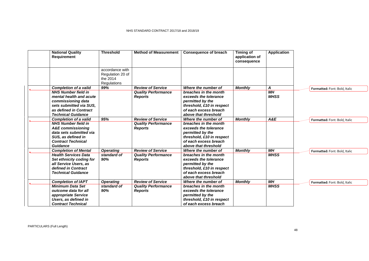| <b>National Quality</b><br><b>Requirement</b>                                                                                                                                                 | <b>Threshold</b>                                               | <b>Method of Measurement</b>                                             | <b>Consequence of breach</b>                                                                                                                                            | <b>Timing of</b><br>application of<br>consequence | <b>Application</b>                 |                               |
|-----------------------------------------------------------------------------------------------------------------------------------------------------------------------------------------------|----------------------------------------------------------------|--------------------------------------------------------------------------|-------------------------------------------------------------------------------------------------------------------------------------------------------------------------|---------------------------------------------------|------------------------------------|-------------------------------|
|                                                                                                                                                                                               | accordance with<br>Regulation 20 of<br>the 2014<br>Regulations |                                                                          |                                                                                                                                                                         |                                                   |                                    |                               |
| <b>Completion of a valid</b><br><b>NHS Number field in</b><br>mental health and acute<br>commissioning data<br>sets submitted via SUS.<br>as defined in Contract<br><b>Technical Guidance</b> | 99%                                                            | <b>Review of Service</b><br><b>Quality Performance</b><br><b>Reports</b> | Where the number of<br>breaches in the month<br>exceeds the tolerance<br>permitted by the<br>threshold, £10 in respect<br>of each excess breach<br>above that threshold | <b>Monthly</b>                                    | A<br>M <sub>H</sub><br><b>MHSS</b> | Formatted: Font: Bold, Italic |
| <b>Completion of a valid</b><br><b>NHS Number field in</b><br><b>A&amp;E</b> commissioning<br>data sets submitted via<br>SUS, as defined in<br><b>Contract Technical</b><br>Guidance          | 95%                                                            | <b>Review of Service</b><br><b>Quality Performance</b><br><b>Reports</b> | Where the number of<br>breaches in the month<br>exceeds the tolerance<br>permitted by the<br>threshold, £10 in respect<br>of each excess breach<br>above that threshold | <b>Monthly</b>                                    | A&E                                | Formatted: Font: Bold, Italic |
| <b>Completion of Mental</b><br><b>Health Services Data</b><br>Set ethnicity coding for<br>all Service Users, as<br>defined in Contract<br><b>Technical Guidance</b>                           | <b>Operating</b><br>standard of<br>90%                         | <b>Review of Service</b><br><b>Quality Performance</b><br><b>Reports</b> | Where the number of<br>breaches in the month<br>exceeds the tolerance<br>permitted by the<br>threshold, £10 in respect<br>of each excess breach<br>above that threshold | <b>Monthly</b>                                    | <b>MH</b><br><b>MHSS</b>           | Formatted: Font: Bold, Italic |
| <b>Completion of IAPT</b><br><b>Minimum Data Set</b><br>outcome data for all<br>appropriate Service<br>Users, as defined in<br><b>Contract Technical</b>                                      | <b>Operating</b><br>standard of<br>90%                         | <b>Review of Service</b><br><b>Quality Performance</b><br><b>Reports</b> | Where the number of<br>breaches in the month<br>exceeds the tolerance<br>permitted by the<br>threshold, £10 in respect<br>of each excess breach                         | <b>Monthly</b>                                    | <b>MH</b><br><b>MHSS</b>           | Formatted: Font: Bold, Italic |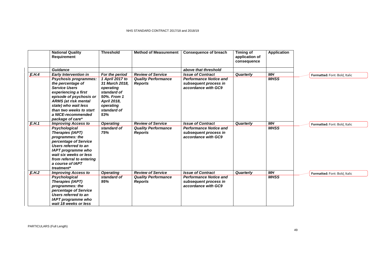|       | <b>National Quality</b><br><b>Requirement</b>                                                                                                                                                                                                     | <b>Threshold</b>                                                                                                               | <b>Method of Measurement</b>                 | <b>Consequence of breach</b>                                                  | Timing of<br>application of<br>consequence | <b>Application</b> |                               |
|-------|---------------------------------------------------------------------------------------------------------------------------------------------------------------------------------------------------------------------------------------------------|--------------------------------------------------------------------------------------------------------------------------------|----------------------------------------------|-------------------------------------------------------------------------------|--------------------------------------------|--------------------|-------------------------------|
|       | Guidance                                                                                                                                                                                                                                          |                                                                                                                                |                                              | above that threshold                                                          |                                            |                    |                               |
| E.H.4 | <b>Early Intervention in</b>                                                                                                                                                                                                                      | For the period                                                                                                                 | <b>Review of Service</b>                     | <b>Issue of Contract</b>                                                      | Quarterly                                  | MН                 | Formatted: Font: Bold, Italic |
|       | Psychosis programmes:<br>the percentage of<br><b>Service Users</b><br>experiencing a first<br>episode of psychosis or<br><b>ARMS</b> (at risk mental<br>state) who wait less<br>than two weeks to start<br>a NICE-recommended<br>package of care* | 1 April 2017 to<br>31 March 2018.<br>operating<br>standard of<br>50%. From 1<br>April 2018,<br>operating<br>standard of<br>53% | <b>Quality Performance</b><br><b>Reports</b> | <b>Performance Notice and</b><br>subsequent process in<br>accordance with GC9 |                                            | <b>MHSS</b>        |                               |
| E.H.1 | <b>Improving Access to</b>                                                                                                                                                                                                                        | <b>Operating</b>                                                                                                               | <b>Review of Service</b>                     | <b>Issue of Contract</b>                                                      | Quarterly                                  | $\overline{MH}$    | Formatted: Font: Bold, Italic |
|       | Psychological<br>Therapies (IAPT)<br>programmes: the<br>percentage of Service<br>Users referred to an<br><b>IAPT</b> programme who<br>wait six weeks or less<br>from referral to entering<br>a course of IAPT<br>treatment*                       | standard of<br>75%                                                                                                             | <b>Quality Performance</b><br><b>Reports</b> | <b>Performance Notice and</b><br>subsequent process in<br>accordance with GC9 |                                            | <b>MHSS</b>        |                               |
| E.H.2 | <b>Improving Access to</b>                                                                                                                                                                                                                        | <b>Operating</b>                                                                                                               | <b>Review of Service</b>                     | <b>Issue of Contract</b>                                                      | Quarterly                                  | MН                 | Formatted: Font: Bold, Italic |
|       | Psychological<br><b>Therapies (IAPT)</b><br>programmes: the<br>percentage of Service<br>Users referred to an<br><b>IAPT</b> programme who<br>wait 18 weeks or less                                                                                | standard of<br>95%                                                                                                             | <b>Quality Performance</b><br><b>Reports</b> | <b>Performance Notice and</b><br>subsequent process in<br>accordance with GC9 |                                            | <b>MHSS</b>        |                               |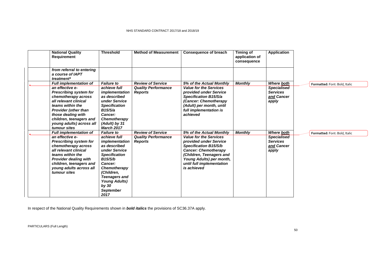| <b>National Quality</b><br><b>Requirement</b>                                                                                                                                                                                                                                     | <b>Threshold</b>                                                                                                                                                                                                                                      | <b>Method of Measurement</b>                                             | <b>Consequence of breach</b>                                                                                                                                                                                                                           | <b>Timing of</b><br>application of<br>consequence | <b>Application</b>                                                                |                               |
|-----------------------------------------------------------------------------------------------------------------------------------------------------------------------------------------------------------------------------------------------------------------------------------|-------------------------------------------------------------------------------------------------------------------------------------------------------------------------------------------------------------------------------------------------------|--------------------------------------------------------------------------|--------------------------------------------------------------------------------------------------------------------------------------------------------------------------------------------------------------------------------------------------------|---------------------------------------------------|-----------------------------------------------------------------------------------|-------------------------------|
| from referral to entering<br>a course of IAPT<br>treatment*                                                                                                                                                                                                                       |                                                                                                                                                                                                                                                       |                                                                          |                                                                                                                                                                                                                                                        |                                                   |                                                                                   |                               |
| <b>Full implementation of</b><br>an effective e-<br><b>Prescribing system for</b><br>chemotherapy across<br>all relevant clinical<br>teams within the<br><b>Provider (other than</b><br>those dealing with<br>children, teenagers and<br>young adults) across all<br>tumour sites | <b>Failure to</b><br>achieve full<br>implementation<br>as described<br>under Service<br><b>Specification</b><br>B15/S/a<br>Cancer:<br>Chemotherapy<br>(Adult) by 31<br><b>March 2017</b>                                                              | <b>Review of Service</b><br><b>Quality Performance</b><br><b>Reports</b> | 5% of the Actual Monthly<br><b>Value for the Services</b><br>provided under Service<br>Specification B15/S/a<br>(Cancer: Chemotherapy<br>(Adult) per month, until<br>full implementation is<br>achieved                                                | <b>Monthly</b>                                    | Where both<br><b>Specialised</b><br><b>Services</b><br>and Cancer<br>apply        | Formatted: Font: Bold, Italic |
| <b>Full implementation of</b><br>an effective e-<br><b>Prescribing system for</b><br>chemotherapy across<br>all relevant clinical<br>teams within the<br><b>Provider dealing with</b><br>children, teenagers and<br>young adults across all<br>tumour sites                       | <b>Failure to</b><br>achieve full<br>implementation<br>as described<br>under Service<br><b>Specification</b><br>B15/S/b<br>Cancer:<br>Chemotherapy<br>(Children,<br><b>Teenagers and</b><br><b>Young Adults)</b><br>by 30<br><b>September</b><br>2017 | <b>Review of Service</b><br><b>Quality Performance</b><br><b>Reports</b> | 5% of the Actual Monthly<br><b>Value for the Services</b><br>provided under Service<br><b>Specification B15/S/b</b><br><b>Cancer: Chemotherapy</b><br>(Children, Teenagers and<br>Young Adults) per month,<br>until full implementation<br>is achieved | <b>Monthly</b>                                    | <b>Where both</b><br><b>Specialised</b><br><b>Services</b><br>and Cancer<br>apply | Formatted: Font: Bold, Italic |

In respect of the National Quality Requirements shown in **bold italics** the provisions of SC36.37A apply.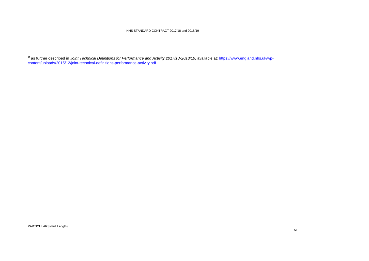\* as further described in *Joint Technical Definitions for Performance and Activity 2017/18-2018/19,* available at: [https://www.england.nhs.uk/wp](https://www.england.nhs.uk/wp-content/uploads/2015/12/joint-technical-definitions-performance-activity.pdf)[content/uploads/2015/12/joint-technical-definitions-performance-activity.pdf](https://www.england.nhs.uk/wp-content/uploads/2015/12/joint-technical-definitions-performance-activity.pdf)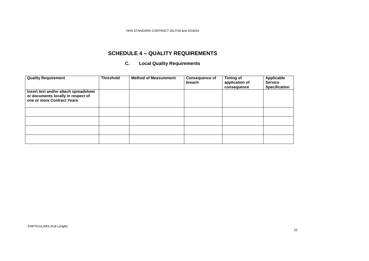# **SCHEDULE 4 – QUALITY REQUIREMENTS**

### **C. Local Quality Requirements**

| <b>Quality Requirement</b>                                                                                | <b>Threshold</b> | <b>Method of Measurement</b> | <b>Consequence of</b><br>breach | <b>Timing of</b><br>application of<br>consequence | <b>Applicable</b><br><b>Service</b><br><b>Specification</b> |
|-----------------------------------------------------------------------------------------------------------|------------------|------------------------------|---------------------------------|---------------------------------------------------|-------------------------------------------------------------|
| Insert text and/or attach spreadsheet<br>or documents locally in respect of<br>one or more Contract Years |                  |                              |                                 |                                                   |                                                             |
|                                                                                                           |                  |                              |                                 |                                                   |                                                             |
|                                                                                                           |                  |                              |                                 |                                                   |                                                             |
|                                                                                                           |                  |                              |                                 |                                                   |                                                             |
|                                                                                                           |                  |                              |                                 |                                                   |                                                             |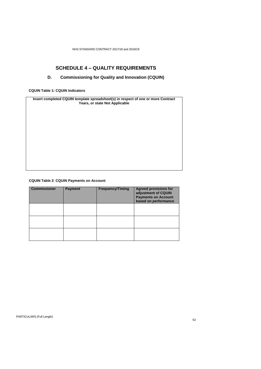# **SCHEDULE 4 – QUALITY REQUIREMENTS**

## **D. Commissioning for Quality and Innovation (CQUIN)**

**CQUIN Table 1: CQUIN Indicators**

**Insert completed CQUIN template spreadsheet(s) in respect of one or more Contract Years, or state Not Applicable**

### **CQUIN Table 2**: **CQUIN Payments on Account**

| <b>Commissioner</b> | <b>Payment</b> | <b>Frequency/Timing</b> | <b>Agreed provisions for</b><br>adjustment of CQUIN<br><b>Payments on Account</b><br>based on performance |
|---------------------|----------------|-------------------------|-----------------------------------------------------------------------------------------------------------|
|                     |                |                         |                                                                                                           |
|                     |                |                         |                                                                                                           |
|                     |                |                         |                                                                                                           |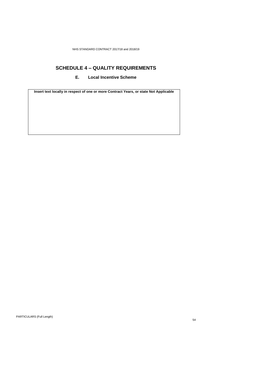# **SCHEDULE 4 – QUALITY REQUIREMENTS**

### **E. Local Incentive Scheme**

**Insert text locally in respect of one or more Contract Years, or state Not Applicable**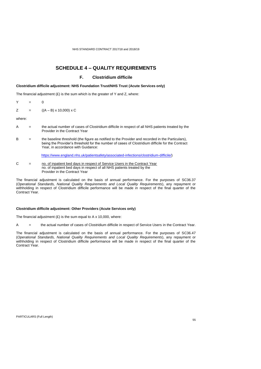## **SCHEDULE 4 – QUALITY REQUIREMENTS**

### **F. Clostridium difficile**

### **Clostridium difficile adjustment: NHS Foundation Trust/NHS Trust (Acute Services only)**

The financial adjustment  $(E)$  is the sum which is the greater of Y and Z, where:

- Y = 0
- $Z = ((A B) \times 10,000) \times C$

where:

- A = the actual number of cases of Clostridium difficile in respect of all NHS patients treated by the Provider in the Contract Year
- B = the baseline threshold (the figure as notified to the Provider and recorded in the Particulars), being the Provider's threshold for the number of cases of Clostridium difficile for the Contract Year, in accordance with Guidance:

[https://www.england.nhs.uk/patientsafety/associated-infections/clostridium-difficile/\)](https://www.england.nhs.uk/patientsafety/associated-infections/clostridium-difficile/)

C  $=$  no. of inpatient bed days in respect of Service Users in the Contract Year no. of inpatient bed days in respect of all NHS patients treated by the Provider in the Contract Year

The financial adjustment is calculated on the basis of annual performance. For the purposes of SC36.37 (*Operational Standards, National Quality Requirements and Local Quality Requirements*), any repayment or withholding in respect of Clostridium difficile performance will be made in respect of the final quarter of the Contract Year.

#### **Clostridium difficile adjustment: Other Providers (Acute Services only)**

The financial adjustment  $(E)$  is the sum equal to A x 10,000, where:

A = the actual number of cases of Clostridium difficile in respect of Service Users in the Contract Year.

The financial adjustment is calculated on the basis of annual performance. For the purposes of SC36.47 (*Operational Standards, National Quality Requirements and Local Quality Requirements*), any repayment or withholding in respect of Clostridium difficile performance will be made in respect of the final quarter of the Contract Year.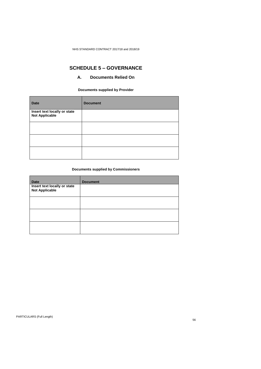# **SCHEDULE 5 – GOVERNANCE**

### **A. Documents Relied On**

**Documents supplied by Provider**

| <b>Date</b>                                           | <b>Document</b> |
|-------------------------------------------------------|-----------------|
| Insert text locally or state<br><b>Not Applicable</b> |                 |
|                                                       |                 |
|                                                       |                 |
|                                                       |                 |

### **Documents supplied by Commissioners**

| <b>Date</b>                                           | <b>Document</b> |
|-------------------------------------------------------|-----------------|
| Insert text locally or state<br><b>Not Applicable</b> |                 |
|                                                       |                 |
|                                                       |                 |
|                                                       |                 |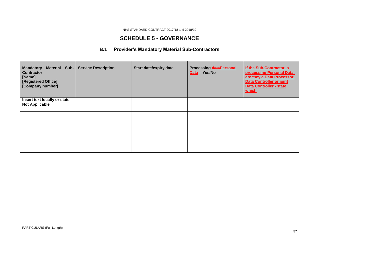# **SCHEDULE 5 - GOVERNANCE**

# **B.1 Provider's Mandatory Material Sub-Contractors**

| Material Sub-<br><b>Mandatory</b><br><b>Contractor</b><br>[Name]<br>[Registered Office]<br>[Company number] | <b>Service Description</b> | <b>Start date/expiry date</b> | <b>Processing dataPersonal</b><br>Data - Yes/No | If the Sub-Contractor is<br>processing Personal Data,<br>are they a Data Processor,<br><b>Data Controller or joint</b><br><b>Data Controller - state</b><br>which |
|-------------------------------------------------------------------------------------------------------------|----------------------------|-------------------------------|-------------------------------------------------|-------------------------------------------------------------------------------------------------------------------------------------------------------------------|
| Insert text locally or state<br><b>Not Applicable</b>                                                       |                            |                               |                                                 |                                                                                                                                                                   |
|                                                                                                             |                            |                               |                                                 |                                                                                                                                                                   |
|                                                                                                             |                            |                               |                                                 |                                                                                                                                                                   |
|                                                                                                             |                            |                               |                                                 |                                                                                                                                                                   |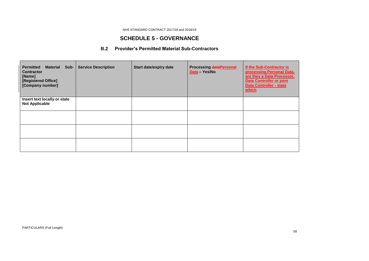## **SCHEDULE 5 - GOVERNANCE**

## **B.2 Provider's Permitted Material Sub-Contractors**

| <b>Material Sub-</b><br><b>Permitted</b><br><b>Contractor</b><br>[Name]<br>[Registered Office]<br>[Company number] | <b>Service Description</b> | <b>Start date/expiry date</b> | <b>Processing dataPersonal</b><br>Data - Yes/No | If the Sub-Contractor is<br>processing Personal Data,<br>are they a Data Processor,<br><b>Data Controller or joint</b><br><b>Data Controller - state</b><br>which |
|--------------------------------------------------------------------------------------------------------------------|----------------------------|-------------------------------|-------------------------------------------------|-------------------------------------------------------------------------------------------------------------------------------------------------------------------|
| Insert text locally or state<br><b>Not Applicable</b>                                                              |                            |                               |                                                 |                                                                                                                                                                   |
|                                                                                                                    |                            |                               |                                                 |                                                                                                                                                                   |
|                                                                                                                    |                            |                               |                                                 |                                                                                                                                                                   |
|                                                                                                                    |                            |                               |                                                 |                                                                                                                                                                   |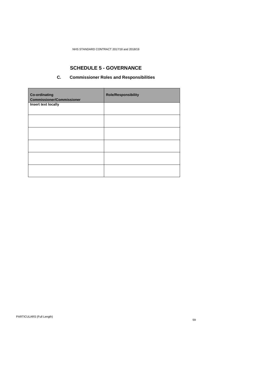# **SCHEDULE 5 - GOVERNANCE**

## **C. Commissioner Roles and Responsibilities**

| <b>Co-ordinating</b><br><b>Commissioner/Commissioner</b> | <b>Role/Responsibility</b> |
|----------------------------------------------------------|----------------------------|
| Insert text locally                                      |                            |
|                                                          |                            |
|                                                          |                            |
|                                                          |                            |
|                                                          |                            |
|                                                          |                            |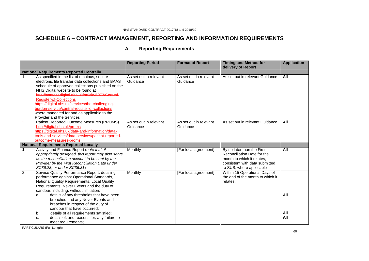# **SCHEDULE 6 – CONTRACT MANAGEMENT, REPORTING AND INFORMATION REQUIREMENTS**

| Α. | <b>Reporting Requirements</b> |
|----|-------------------------------|
|----|-------------------------------|

|                  |                                                                                                                                                                                                                                                                                                                                                                                                                                                                  | <b>Reporting Period</b>            | <b>Format of Report</b>            | <b>Timing and Method for</b><br>delivery of Report                                                                                                    | <b>Application</b> |
|------------------|------------------------------------------------------------------------------------------------------------------------------------------------------------------------------------------------------------------------------------------------------------------------------------------------------------------------------------------------------------------------------------------------------------------------------------------------------------------|------------------------------------|------------------------------------|-------------------------------------------------------------------------------------------------------------------------------------------------------|--------------------|
|                  | <b>National Requirements Reported Centrally</b>                                                                                                                                                                                                                                                                                                                                                                                                                  |                                    |                                    |                                                                                                                                                       |                    |
| 1.               | As specified in the list of omnibus, secure<br>electronic file transfer data collections and BAAS<br>schedule of approved collections published on the<br>NHS Digital website to be found at<br>http://content.digital.nhs.uk/article/5073/Central-<br>Register-of-Collections<br>https://digital.nhs.uk/services/the-challenging-<br>burden-service/central-register-of-collections<br>where mandated for and as applicable to the<br>Provider and the Services | As set out in relevant<br>Guidance | As set out in relevant<br>Guidance | As set out in relevant Guidance                                                                                                                       | All                |
|                  | Patient Reported Outcome Measures (PROMS)<br>http://digital.nhs.uk/proms<br>https://digital.nhs.uk/data-and-information/data-<br>tools-and-services/data-services/patient-reported-<br>outcome-measures-proms                                                                                                                                                                                                                                                    | As set out in relevant<br>Guidance | As set out in relevant<br>Guidance | As set out in relevant Guidance                                                                                                                       | All                |
|                  | <b>National Requirements Reported Locally</b>                                                                                                                                                                                                                                                                                                                                                                                                                    |                                    |                                    |                                                                                                                                                       |                    |
| 1.               | Activity and Finance Report (note that, if<br>appropriately designed, this report may also serve<br>as the reconciliation account to be sent by the<br>Provider by the First Reconciliation Date under<br>SC36.28, or under SC36.31)                                                                                                                                                                                                                             | Monthly                            | [For local agreement]              | By no later than the First<br>Reconciliation Date for the<br>month to which it relates.<br>consistent with data submitted<br>to SUS, where applicable | All                |
| $\overline{2}$ . | Service Quality Performance Report, detailing<br>performance against Operational Standards,<br>National Quality Requirements, Local Quality<br>Requirements, Never Events and the duty of<br>candour, including, without limitation:<br>details of any thresholds that have been<br>a.<br>breached and any Never Events and                                                                                                                                      | Monthly                            | [For local agreement]              | Within 15 Operational Days of<br>the end of the month to which it<br>relates.                                                                         | All                |
|                  | breaches in respect of the duty of<br>candour that have occurred;                                                                                                                                                                                                                                                                                                                                                                                                |                                    |                                    |                                                                                                                                                       |                    |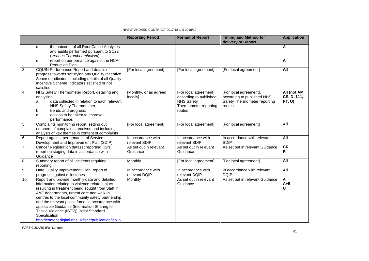|                  |                                                                                                                                                                                                                                                                                                                                                                                                                                                                                | <b>Reporting Period</b>             | <b>Format of Report</b>                                                                                  | <b>Timing and Method for</b><br>delivery of Report                                             | <b>Application</b>                    |
|------------------|--------------------------------------------------------------------------------------------------------------------------------------------------------------------------------------------------------------------------------------------------------------------------------------------------------------------------------------------------------------------------------------------------------------------------------------------------------------------------------|-------------------------------------|----------------------------------------------------------------------------------------------------------|------------------------------------------------------------------------------------------------|---------------------------------------|
|                  | d.<br>the outcome of all Root Cause Analyses<br>and audits performed pursuant to SC22<br>(Venous Thromboembolism);<br>report on performance against the HCAI<br>е.                                                                                                                                                                                                                                                                                                             |                                     |                                                                                                          |                                                                                                | A<br>A                                |
|                  | <b>Reduction Plan</b>                                                                                                                                                                                                                                                                                                                                                                                                                                                          |                                     |                                                                                                          |                                                                                                |                                       |
| $\overline{3}$ . | CQUIN Performance Report and details of<br>progress towards satisfying any Quality Incentive<br>Scheme Indicators, including details of all Quality<br>Incentive Scheme Indicators satisfied or not<br>satisfied                                                                                                                                                                                                                                                               | [For local agreement]               | [For local agreement]                                                                                    | [For local agreement]                                                                          | All                                   |
| 4.               | NHS Safety Thermometer Report, detailing and<br>analysing:<br>data collected in relation to each relevant<br>a.<br>NHS Safety Thermometer;<br>trends and progress;<br>b.<br>actions to be taken to improve<br>c.<br>performance.                                                                                                                                                                                                                                               | [Monthly, or as agreed<br>locally]  | [For local agreement],<br>according to published<br><b>NHS Safety</b><br>Thermometer reporting<br>routes | [For local agreement],<br>according to published NHS<br>Safety Thermometer reporting<br>routes | All (not AM,<br>CS, D, 111,<br>PT, U) |
| $\overline{5}$ . | Complaints monitoring report, setting out<br>numbers of complaints received and including<br>analysis of key themes in content of complaints                                                                                                                                                                                                                                                                                                                                   | [For local agreement]               | [For local agreement]                                                                                    | [For local agreement]                                                                          | All                                   |
| 6.               | Report against performance of Service<br>Development and Improvement Plan (SDIP)                                                                                                                                                                                                                                                                                                                                                                                               | In accordance with<br>relevant SDIP | In accordance with<br>relevant SDIP                                                                      | In accordance with relevant<br><b>SDIP</b>                                                     | <b>All</b>                            |
| $\overline{7}$ . | Cancer Registration dataset reporting (ISN):<br>report on staging data in accordance with<br>Guidance                                                                                                                                                                                                                                                                                                                                                                          | As set out in relevant<br>Guidance  | As set out in relevant<br>Guidance                                                                       | As set out in relevant Guidance                                                                | CR<br>$\mathsf{R}$                    |
| 8.               | Summary report of all incidents requiring<br>reporting                                                                                                                                                                                                                                                                                                                                                                                                                         | Monthly                             | [For local agreement]                                                                                    | [For local agreement]                                                                          | All                                   |
| 9.               | Data Quality Improvement Plan: report of<br>progress against milestones                                                                                                                                                                                                                                                                                                                                                                                                        | In accordance with<br>relevant DQIP | In accordance with<br>relevant DQIP                                                                      | In accordance with relevant<br><b>DQIP</b>                                                     | <b>All</b>                            |
| 10.              | Report and provide monthly data and detailed<br>information relating to violence-related injury<br>resulting in treatment being sought from Staff in<br>A&E departments, urgent care and walk-in<br>centres to the local community safety partnership<br>and the relevant police force, in accordance with<br>applicable Guidance (Information Sharing to<br>Tackle Violence (ISTV)) Initial Standard<br>Specification<br>http://content.digital.nhs.uk/isce/publication/isb15 | Monthly                             | As set out in relevant<br>Guidance                                                                       | As set out in relevant Guidance                                                                | A<br>$A + E$<br>U                     |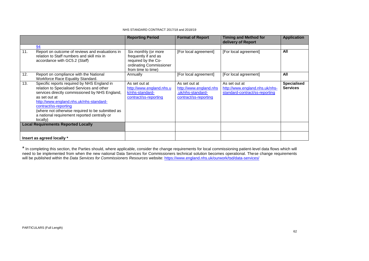|     |                                                                                                                                                                                                                                                                                                                                                  | <b>Reporting Period</b>                                                                                              | <b>Format of Report</b>                                                               | <b>Timing and Method for</b><br>delivery of Report                                | <b>Application</b>                    |
|-----|--------------------------------------------------------------------------------------------------------------------------------------------------------------------------------------------------------------------------------------------------------------------------------------------------------------------------------------------------|----------------------------------------------------------------------------------------------------------------------|---------------------------------------------------------------------------------------|-----------------------------------------------------------------------------------|---------------------------------------|
|     | 94                                                                                                                                                                                                                                                                                                                                               |                                                                                                                      |                                                                                       |                                                                                   |                                       |
| 11. | Report on outcome of reviews and evaluations in<br>relation to Staff numbers and skill mix in<br>accordance with GC5.2 (Staff)                                                                                                                                                                                                                   | Six monthly (or more<br>frequently if and as<br>required by the Co-<br>ordinating Commissioner<br>from time to time) | [For local agreement]                                                                 | [For local agreement]                                                             | All                                   |
| 12. | Report on compliance with the National<br>Workforce Race Equality Standard.                                                                                                                                                                                                                                                                      | Annually                                                                                                             | [For local agreement]                                                                 | [For local agreement]                                                             | All                                   |
| 13. | Specific reports required by NHS England in<br>relation to Specialised Services and other<br>services directly commissioned by NHS England,<br>as set out at<br>http://www.england.nhs.uk/nhs-standard-<br>contract/ss-reporting<br>(where not otherwise required to be submitted as<br>a national requirement reported centrally or<br>locally) | As set out at<br>http://www.england.nhs.u<br>k/nhs-standard-<br>contract/ss-reporting                                | As set out at<br>http://www.england.nhs<br>.uk/nhs-standard-<br>contract/ss-reporting | As set out at<br>http://www.england.nhs.uk/nhs-<br>standard-contract/ss-reporting | <b>Specialised</b><br><b>Services</b> |
|     | <b>Local Requirements Reported Locally</b>                                                                                                                                                                                                                                                                                                       |                                                                                                                      |                                                                                       |                                                                                   |                                       |
|     | Insert as agreed locally *                                                                                                                                                                                                                                                                                                                       |                                                                                                                      |                                                                                       |                                                                                   |                                       |

\* In completing this section, the Parties should, where applicable, consider the change requirements for local commissioning patient-level data flows which will need to be implemented from when the new national Data Services for Commissioners technical solution becomes operational. These change requirements will be published within the *Data Services for Commissioners Resources* website:<https://www.england.nhs.uk/ourwork/tsd/data-services/>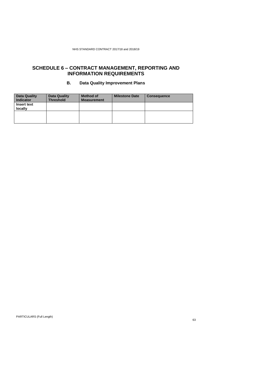## **SCHEDULE 6 – CONTRACT MANAGEMENT, REPORTING AND INFORMATION REQUIREMENTS**

### **B. Data Quality Improvement Plans**

| <b>Data Quality</b><br><b>Indicator</b> | Data Quality<br><b>Threshold</b> | <b>Method of</b><br><b>Measurement</b> | <b>Milestone Date</b> | <b>Consequence</b> |
|-----------------------------------------|----------------------------------|----------------------------------------|-----------------------|--------------------|
| <b>Insert text</b><br>locally           |                                  |                                        |                       |                    |
|                                         |                                  |                                        |                       |                    |
|                                         |                                  |                                        |                       |                    |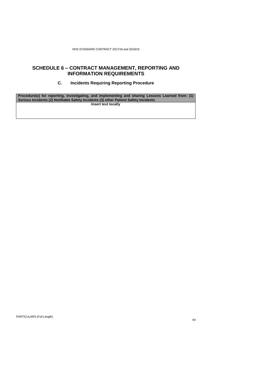### **SCHEDULE 6 – CONTRACT MANAGEMENT, REPORTING AND INFORMATION REQUIREMENTS**

### **C. Incidents Requiring Reporting Procedure**

**Procedure(s) for reporting, investigating, and implementing and sharing Lessons Learned from: (1) Serious Incidents (2) Notifiable Safety Incidents (3) other Patient Safety Incidents Insert text locally**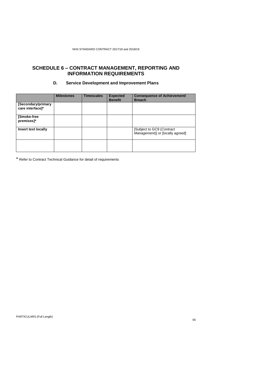## **SCHEDULE 6 – CONTRACT MANAGEMENT, REPORTING AND INFORMATION REQUIREMENTS**

### **D. Service Development and Improvement Plans**

|                                        | <b>Milestones</b> | <b>Timescales</b> | <b>Expected</b><br><b>Benefit</b> | <b>Consequence of Achievement/</b><br><b>Breach</b>            |
|----------------------------------------|-------------------|-------------------|-----------------------------------|----------------------------------------------------------------|
| [Secondary/primary<br>care interface]* |                   |                   |                                   |                                                                |
| [Smoke-free<br>premises]*              |                   |                   |                                   |                                                                |
| Insert text locally                    |                   |                   |                                   | [Subject to GC9 (Contract)<br>Management)] or [locally agreed] |
|                                        |                   |                   |                                   |                                                                |

\* Refer to Contract Technical Guidance for detail of requirements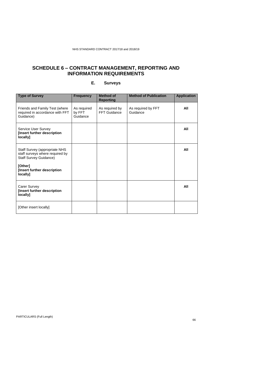# **SCHEDULE 6 – CONTRACT MANAGEMENT, REPORTING AND INFORMATION REQUIREMENTS**

| <b>Type of Survey</b>                                                                                        | <b>Frequency</b>                  | <b>Method of</b><br><b>Reporting</b> | <b>Method of Publication</b>   | <b>Application</b> |
|--------------------------------------------------------------------------------------------------------------|-----------------------------------|--------------------------------------|--------------------------------|--------------------|
| Friends and Family Test (where<br>required in accordance with FFT<br>Guidance)                               | As required<br>by FFT<br>Guidance | As required by<br>FFT Guidance       | As required by FFT<br>Guidance | All                |
| Service User Survey<br>[Insert further description<br>locally]                                               |                                   |                                      |                                | All                |
| Staff Survey (appropriate NHS<br>staff surveys where required by<br><b>Staff Survey Guidance)</b><br>[Other] |                                   |                                      |                                | All                |
| [Insert further description<br>locally]                                                                      |                                   |                                      |                                |                    |
| Carer Survey<br>[Insert further description<br>locally]                                                      |                                   |                                      |                                | All                |
| [Other insert locally]                                                                                       |                                   |                                      |                                |                    |

### **E. Surveys**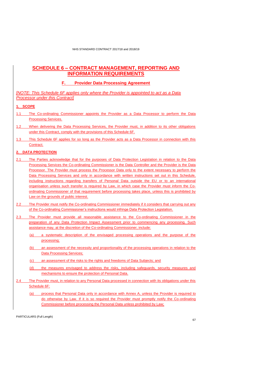### **SCHEDULE 6 – CONTRACT MANAGEMENT, REPORTING AND INFORMATION REQUIREMENTS**

### **F. Provider Data Processing Agreement**

*[NOTE: This Schedule 6F applies only where the Provider is appointed to act as a Data Processor under this Contract]*

### **1. SCOPE**

- 1.1 The Co-ordinating Commissioner appoints the Provider as a Data Processor to perform the Data Processing Services.
- 1.2 When delivering the Data Processing Services, the Provider must, in addition to its other obligations under this Contract, comply with the provisions of this Schedule 6F.
- 1.3 This Schedule 6F applies for so long as the Provider acts as a Data Processor in connection with this Contract.

### **2. DATA PROTECTION**

- 2.1 The Parties acknowledge that for the purposes of Data Protection Legislation in relation to the Data Processing Services the Co-ordinating Commissioner is the Data Controller and the Provider is the Data Processor. The Provider must process the Processor Data only to the extent necessary to perform the Data Processing Services and only in accordance with written instructions set out in this Schedule, including instructions regarding transfers of Personal Data outside the EU or to an international organisation unless such transfer is required by Law, in which case the Provider must inform the Coordinating Commissioner of that requirement before processing takes place, unless this is prohibited by Law on the grounds of public interest.
- 2.2 The Provider must notify the Co-ordinating Commissioner immediately if it considers that carrying out any of the Co-ordinating Commissioner's instructions would infringe Data Protection Legislation.
- 2.3 The Provider must provide all reasonable assistance to the Co-ordinating Commissioner in the preparation of any Data Protection Impact Assessment prior to commencing any processing. Such assistance may, at the discretion of the Co-ordinating Commissioner, include:
	- (a) a systematic description of the envisaged processing operations and the purpose of the processing;
	- (b) an assessment of the necessity and proportionality of the processing operations in relation to the Data Processing Services;
	- (c) an assessment of the risks to the rights and freedoms of Data Subjects; and
	- the measures envisaged to address the risks, including safeguards, security measures and mechanisms to ensure the protection of Personal Data.
- <span id="page-66-0"></span>2.4 The Provider must, in relation to any Personal Data processed in connection with its obligations under this Schedule 6F:
	- (a) process that Personal Data only in accordance with Annex A, unless the Provider is required to do otherwise by Law. If it is so required the Provider must promptly notify the Co-ordinating Commissioner before processing the Personal Data unless prohibited by Law;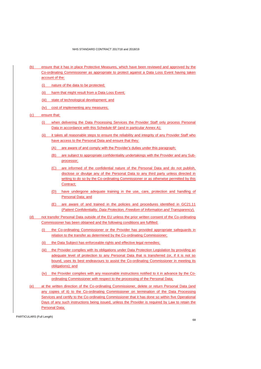- (b) ensure that it has in place Protective Measures, which have been reviewed and approved by the Co-ordinating Commissioner as appropriate to protect against a Data Loss Event having taken account of the:
	- (i) nature of the data to be protected;
	- (ii) harm that might result from a Data Loss Event;
	- (iii) state of technological development; and
	- (iv) cost of implementing any measures;
- (c) ensure that:
	- (i) when delivering the Data Processing Services the Provider Staff only process Personal Data in accordance with this Schedule 6F (and in particular Annex A);
	- (ii) it takes all reasonable steps to ensure the reliability and integrity of any Provider Staff who have access to the Personal Data and ensure that they:
		- (A) are aware of and comply with the Provider's duties under this paragraph;
		- (B) are subject to appropriate confidentiality undertakings with the Provider and any Subprocessor;
		- (C) are informed of the confidential nature of the Personal Data and do not publish, disclose or divulge any of the Personal Data to any third party unless directed in writing to do so by the Co-ordinating Commissioner or as otherwise permitted by this Contract;
		- (D) have undergone adequate training in the use, care, protection and handling of Personal Data; and
		- (E) are aware of and trained in the policies and procedures identified in GC21.11 (*Patient Confidentiality, Data Protection, Freedom of Information and Transparency*).
- (d) not transfer Personal Data outside of the EU unless the prior written consent of the Co-ordinating Commissioner has been obtained and the following conditions are fulfilled:
	- (i) the Co-ordinating Commissioner or the Provider has provided appropriate safeguards in relation to the transfer as determined by the Co-ordinating Commissioner;
	- (ii) the Data Subject has enforceable rights and effective legal remedies;
	- (iii) the Provider complies with its obligations under Data Protection Legislation by providing an adequate level of protection to any Personal Data that is transferred (or, if it is not so bound, uses its best endeavours to assist the Co-ordinating Commissioner in meeting its obligations); and
	- (iv) the Provider complies with any reasonable instructions notified to it in advance by the Coordinating Commissioner with respect to the processing of the Personal Data;
- (e) at the written direction of the Co-ordinating Commissioner, delete or return Personal Data (and any copies of it) to the Co-ordinating Commissioner on termination of the Data Processing Services and certify to the Co-ordinating Commissioner that it has done so within five Operational Days of any such instructions being issued, unless the Provider is required by Law to retain the Personal Data;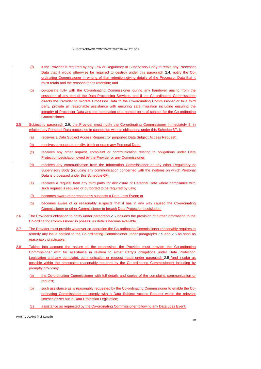- (f) if the Provider is required by any Law or Regulatory or Supervisory Body to retain any Processor Data that it would otherwise be required to destroy under this paragraph [2.4,](#page-66-0) notify the Coordinating Commissioner in writing of that retention giving details of the Processor Data that it must retain and the reasons for its retention; and
- (g) co-operate fully with the Co-ordinating Commissioner during any handover arising from the cessation of any part of the Data Processing Services, and if the Co-ordinating Commissioner directs the Provider to migrate Processor Data to the Co-ordinating Commissioner or to a third party, provide all reasonable assistance with ensuring safe migration including ensuring the integrity of Processor Data and the nomination of a named point of contact for the Co-ordinating Commissioner.
- <span id="page-68-1"></span>2.5 Subject to paragraph [2.6,](#page-68-0) the Provider must notify the Co-ordinating Commissioner immediately if, in relation any Personal Data processed in connection with its obligations under this Schedue 6F, it:
	- (a) receives a Data Subject Access Request (or purported Data Subject Access Request);
	- (b) receives a request to rectify, block or erase any Personal Data;
	- (c) receives any other request, complaint or communication relating to obligations under Data Protection Legislation owed by the Provider or any Commissioner;
	- (d) receives any communication from the Information Commissioner or any other Regulatory or Supervisory Body (including any communication concerned with the systems on which Personal Data is processed under this Schedule 6F);
	- (e) receives a request from any third party for disclosure of Personal Data where compliance with such request is required or purported to be required by Law;
	- (f) becomes aware of or reasonably suspects a Data Loss Event; or
	- (g) becomes aware of or reasonably suspects that it has in any way caused the Co-ordinating Commissioner or other Commissioner to breach Data Protection Legislation.
- <span id="page-68-0"></span>2.6 The Provider's obligation to notify under paragraph [2.5](#page-68-1) includes the provision of further information to the Co-ordinating Commissioner in phases, as details become available.
- 2.7 The Provider must provide whatever co-operation the Co-ordinating Commissioner reasonably requires to remedy any issue notified to the Co-ordinating Commissioner under paragraphs [2.5](#page-68-1) and [2.6](#page-68-0) as soon as reasonably practicable.
- 2.8 Taking into account the nature of the processing, the Provider must provide the Co-ordinating Commissioner with full assistance in relation to either Party's obligations under Data Protection Legislation and any complaint, communication or request made under paragraph [2.5](#page-68-1) (and insofar as possible within the timescales reasonably required by the Co-ordinating Commissioner) including by promptly providing:
	- (a) the Co-ordinating Commissioner with full details and copies of the complaint, communication or request;
	- (b) such assistance as is reasonably requested by the Co-ordinating Commissioner to enable the Coordinating Commissioner to comply with a Data Subject Access Request within the relevant timescales set out in Data Protection Legislation;
	- (c) assistance as requested by the Co-ordinating Commissioner following any Data Loss Event;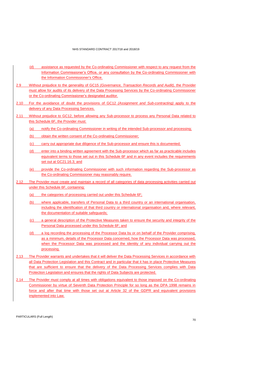- (d) assistance as requested by the Co-ordinating Commissioner with respect to any request from the Information Commissioner's Office, or any consultation by the Co-ordinating Commissioner with the Information Commissioner's Office.
- 2.9 Without prejudice to the generality of GC15 *(Governance, Transaction Records and Audit),* the Provider must allow for audits of its delivery of the Data Processing Services by the Co-ordinating Commissioner or the Co-ordinating Commissioner's designated auditor.
- 2.10 For the avoidance of doubt the provisions of GC12 *(Assignment and Sub-contracting)* apply to the delivery of any Data Processing Services.
- 2.11 Without prejudice to GC12, before allowing any Sub-processor to process any Personal Data related to this Schedule 6F, the Provider must:
	- (a) notify the Co-ordinating Commissioner in writing of the intended Sub-processor and processing;
	- (b) obtain the written consent of the Co-ordinating Commissioner;
	- (c) carry out appropriate due diligence of the Sub-processor and ensure this is documented;
	- (d) enter into a binding written agreement with the Sub-processor which as far as practicable includes equivalent terms to those set out in this Schedule 6F and in any event includes the requirements set out at GC21.16.3; and
	- (e) provide the Co-ordinating Commissioner with such information regarding the Sub-processor as the Co-ordinating Commissioner may reasonably require.
- 2.12 The Provider must create and maintain a record of all categories of data processing activities carried out under this Schedule 6F, containing:
	- (a) the categories of processing carried out under this Schedule 6F;
	- (b) where applicable, transfers of Personal Data to a third country or an international organisation, including the identification of that third country or international organisation and, where relevant, the documentation of suitable safeguards;
	- (c) a general description of the Protective Measures taken to ensure the security and integrity of the Personal Data processed under this Schedule 6F; and
	- (d) a log recording the processing of the Processor Data by or on behalf of the Provider comprising, as a minimum, details of the Processor Data concerned, how the Processor Data was processed, when the Processor Data was processed and the identity of any individual carrying out the processing.
- 2.13 The Provider warrants and undertakes that it will deliver the Data Processing Services in accordance with all Data Protection Legislation and this Contract and in particular that it has in place Protective Measures that are sufficient to ensure that the delivery of the Data Processing Services complies with Data Protection Legislation and ensures that the rights of Data Subjects are protected.
- 2.14 The Provider must comply at all times with obligations equivalent to those imposed on the Co-ordinating Commissioner by virtue of Seventh Data Protection Principle for so long as the DPA 1998 remains in force and after that time with those set out at Article 32 of the GDPR and equivalent provisions implemented into Law.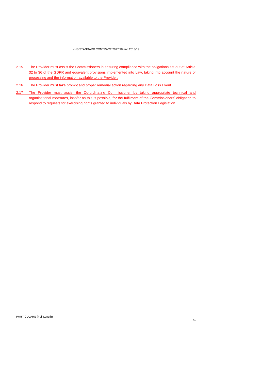- 2.15 The Provider must assist the Commissioners in ensuring compliance with the obligations set out at Article 32 to 36 of the GDPR and equivalent provisions implemented into Law, taking into account the nature of processing and the information available to the Provider.
- 2.16 The Provider must take prompt and proper remedial action regarding any Data Loss Event.
- 2.17 The Provider must assist the Co-ordinating Commissioner by taking appropriate technical and organisational measures, insofar as this is possible, for the fulfilment of the Commissioners' obligation to respond to requests for exercising rights granted to individuals by Data Protection Legislation.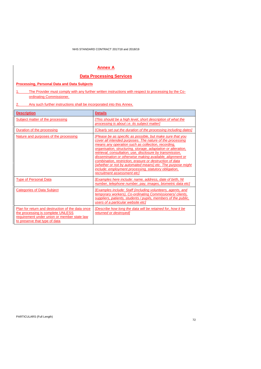## **Annex A**

## **Data Processing Services**

### **Processing, Personal Data and Data Subjects**

1. The Provider must comply with any further written instructions with respect to processing by the Coordinating Commissioner.

2. Any such further instructions shall be incorporated into this Annex.

| <b>Description</b>                                                                                                                                                    | <b>Details</b>                                                                                                                                                                                                                                                                                                                                                                                                                                                                                                                                                                             |  |
|-----------------------------------------------------------------------------------------------------------------------------------------------------------------------|--------------------------------------------------------------------------------------------------------------------------------------------------------------------------------------------------------------------------------------------------------------------------------------------------------------------------------------------------------------------------------------------------------------------------------------------------------------------------------------------------------------------------------------------------------------------------------------------|--|
| Subject matter of the processing                                                                                                                                      | [This should be a high level, short description of what the<br>processing is about <i>i.e.</i> its subject matter]                                                                                                                                                                                                                                                                                                                                                                                                                                                                         |  |
| Duration of the processing                                                                                                                                            | [Clearly set out the duration of the processing including dates]                                                                                                                                                                                                                                                                                                                                                                                                                                                                                                                           |  |
| Nature and purposes of the processing                                                                                                                                 | [Please be as specific as possible, but make sure that you<br>cover all intended purposes. The nature of the processing<br>means any operation such as collection, recording,<br>organisation, structuring, storage, adaptation or alteration,<br>retrieval, consultation, use, disclosure by transmission,<br>dissemination or otherwise making available, alignment or<br>combination, restriction, erasure or destruction of data<br>(whether or not by automated means) etc. The purpose might<br>include: employment processing, statutory obligation,<br>recruitment assessment etc] |  |
| <b>Type of Personal Data</b>                                                                                                                                          | [Examples here include: name, address, date of birth, NI<br>number, telephone number, pay, images, biometric data etcl                                                                                                                                                                                                                                                                                                                                                                                                                                                                     |  |
| Categories of Data Subject                                                                                                                                            | [Examples include: Staff (including volunteers, agents, and<br>temporary workers), Co-ordinating Commissioners/clients,<br>suppliers, patients, students / pupils, members of the public,<br>users of a particular website etcl                                                                                                                                                                                                                                                                                                                                                            |  |
| Plan for return and destruction of the data once<br>the processing is complete UNLESS<br>requirement under union or member state law<br>to preserve that type of data | [Describe how long the data will be retained for, how it be<br>returned or destroyed]                                                                                                                                                                                                                                                                                                                                                                                                                                                                                                      |  |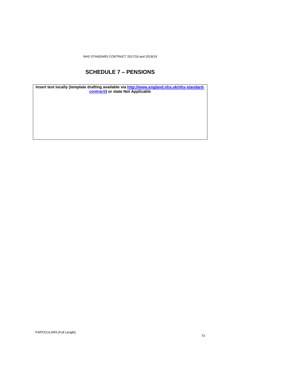NHS STANDARD CONTRACT 2017/18 and 2018/19

## **SCHEDULE 7 – PENSIONS**

**Insert text locally (template drafting available via [http://www.england.nhs.uk/nhs-standard](http://www.england.nhs.uk/nhs-standard-contract/)[contract/\)](http://www.england.nhs.uk/nhs-standard-contract/) or state Not Applicable**